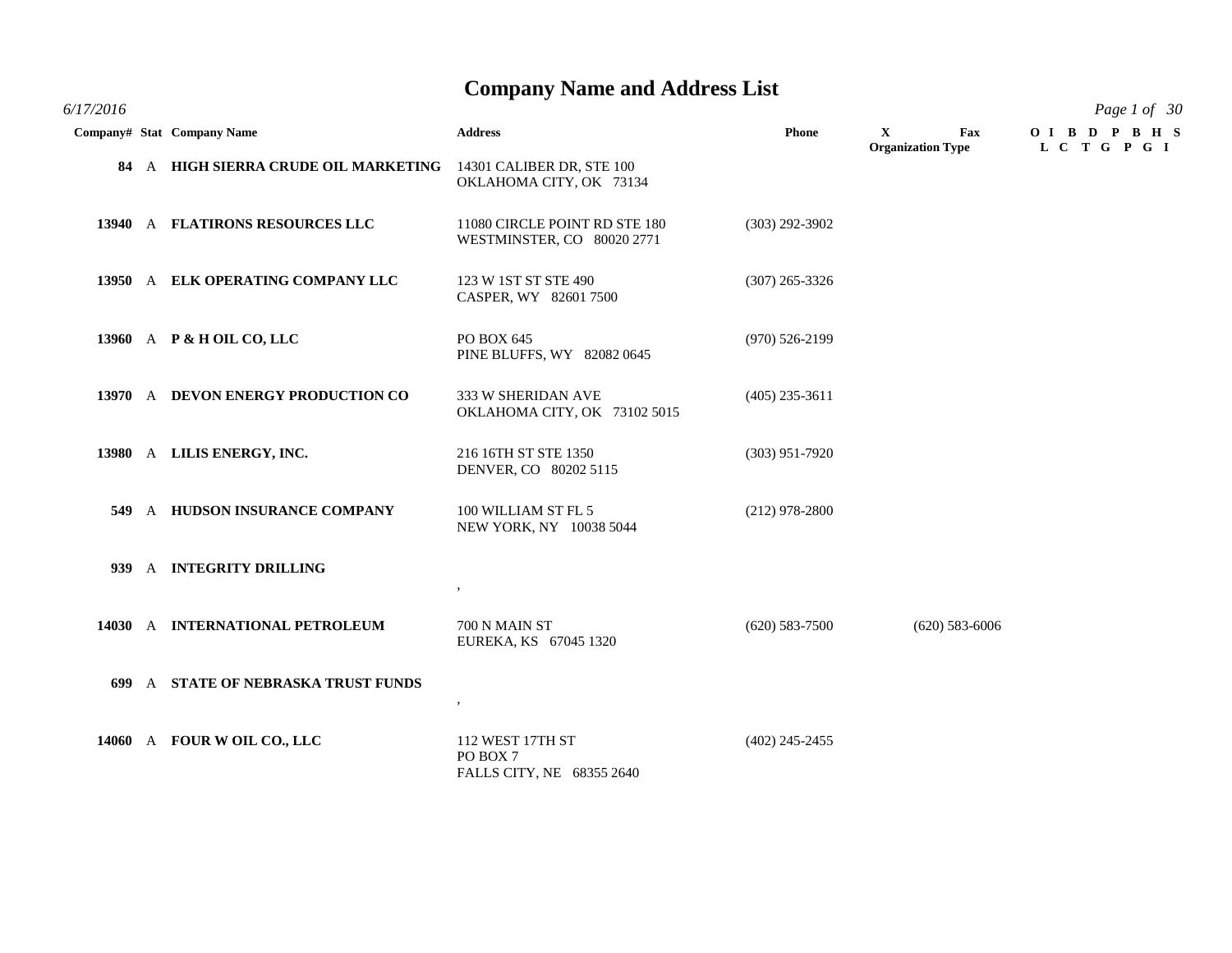| 6/17/2016 |                                                                |                                                             |                  |                                      | Page 1 of 30               |
|-----------|----------------------------------------------------------------|-------------------------------------------------------------|------------------|--------------------------------------|----------------------------|
|           | Company# Stat Company Name                                     | <b>Address</b>                                              | <b>Phone</b>     | X<br>Fax<br><b>Organization Type</b> | OIBD PBHS<br>L C T G P G I |
|           | 84 A HIGH SIERRA CRUDE OIL MARKETING 14301 CALIBER DR, STE 100 | OKLAHOMA CITY, OK 73134                                     |                  |                                      |                            |
|           | 13940 A FLATIRONS RESOURCES LLC                                | 11080 CIRCLE POINT RD STE 180<br>WESTMINSTER, CO 80020 2771 | $(303)$ 292-3902 |                                      |                            |
|           | 13950 A ELK OPERATING COMPANY LLC                              | 123 W 1ST ST STE 490<br>CASPER, WY 82601 7500               | $(307)$ 265-3326 |                                      |                            |
|           | 13960 A P & H OIL CO, LLC                                      | PO BOX 645<br>PINE BLUFFS, WY 82082 0645                    | $(970)$ 526-2199 |                                      |                            |
|           | 13970 A DEVON ENERGY PRODUCTION CO                             | 333 W SHERIDAN AVE<br>OKLAHOMA CITY, OK 73102 5015          | $(405)$ 235-3611 |                                      |                            |
|           | 13980 A LILIS ENERGY, INC.                                     | 216 16TH ST STE 1350<br>DENVER, CO 80202 5115               | $(303)$ 951-7920 |                                      |                            |
|           | 549 A HUDSON INSURANCE COMPANY                                 | 100 WILLIAM ST FL 5<br>NEW YORK, NY 10038 5044              | $(212)$ 978-2800 |                                      |                            |
|           | 939 A INTEGRITY DRILLING                                       | $\, ,$                                                      |                  |                                      |                            |
|           | 14030 A INTERNATIONAL PETROLEUM                                | 700 N MAIN ST<br>EUREKA, KS 67045 1320                      | $(620)$ 583-7500 | $(620)$ 583-6006                     |                            |
|           | 699 A STATE OF NEBRASKA TRUST FUNDS                            | $\cdot$                                                     |                  |                                      |                            |
|           | 14060 A FOUR WOIL CO., LLC                                     | 112 WEST 17TH ST<br>PO BOX 7<br>FALLS CITY, NE 68355 2640   | $(402)$ 245-2455 |                                      |                            |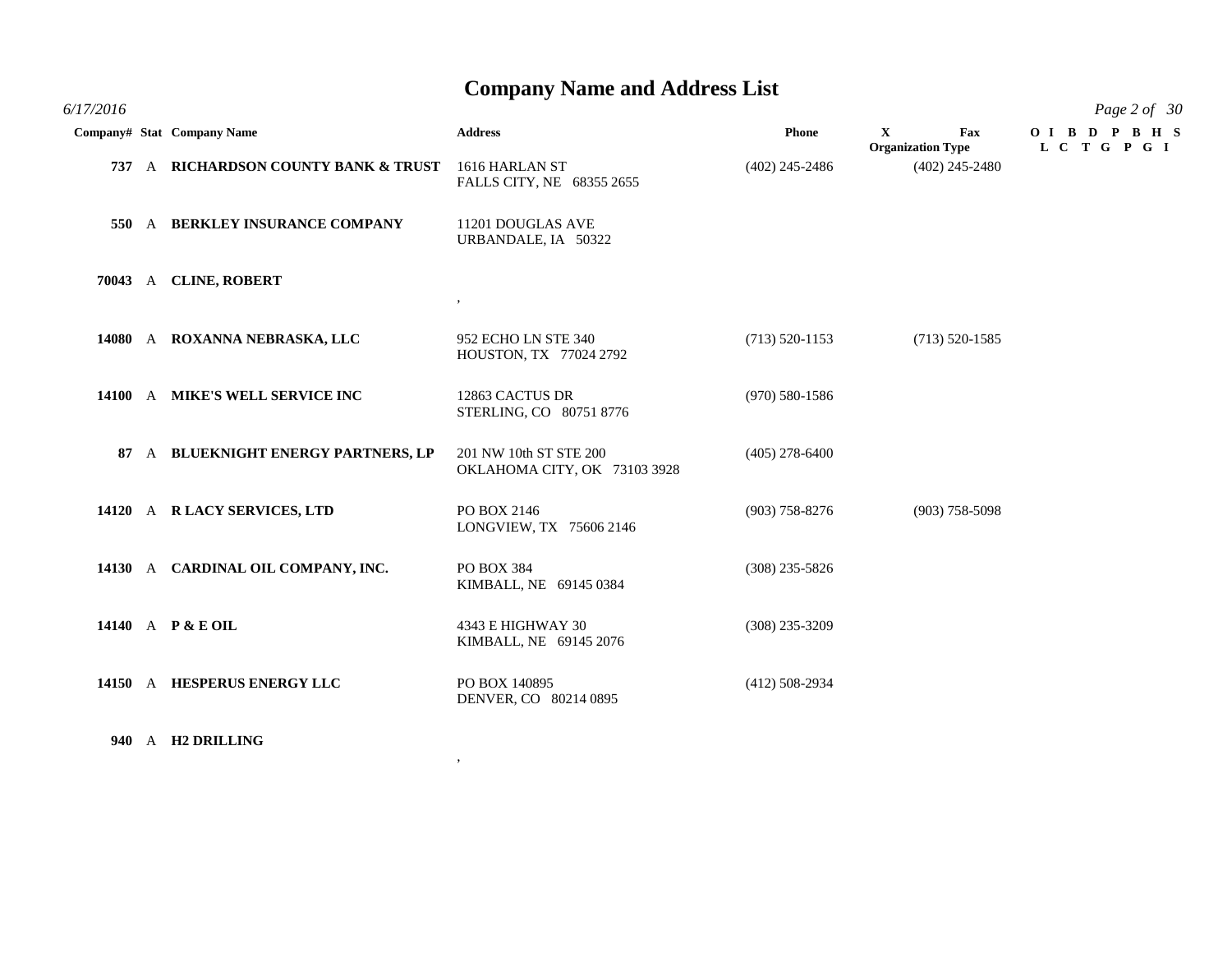| 6/17/2016 |                                      |                                                        |                    |                                                 | Page 2 of 30              |
|-----------|--------------------------------------|--------------------------------------------------------|--------------------|-------------------------------------------------|---------------------------|
|           | Company# Stat Company Name           | <b>Address</b>                                         | Phone              | $\mathbf{X}$<br>Fax<br><b>Organization Type</b> | OIBDPBHS<br>L C T G P G I |
|           | 737 A RICHARDSON COUNTY BANK & TRUST | 1616 HARLAN ST<br>FALLS CITY, NE 68355 2655            | $(402)$ 245-2486   | $(402)$ 245-2480                                |                           |
| 550       | A BERKLEY INSURANCE COMPANY          | 11201 DOUGLAS AVE<br>URBANDALE, IA 50322               |                    |                                                 |                           |
|           | 70043 A CLINE, ROBERT                | $, \, \,$                                              |                    |                                                 |                           |
|           | 14080 A ROXANNA NEBRASKA, LLC        | 952 ECHO LN STE 340<br>HOUSTON, TX 77024 2792          | $(713) 520 - 1153$ | $(713) 520 - 1585$                              |                           |
|           | 14100 A MIKE'S WELL SERVICE INC      | 12863 CACTUS DR<br>STERLING, CO 80751 8776             | $(970)$ 580-1586   |                                                 |                           |
| 87        | A BLUEKNIGHT ENERGY PARTNERS, LP     | 201 NW 10th ST STE 200<br>OKLAHOMA CITY, OK 73103 3928 | $(405)$ 278-6400   |                                                 |                           |
|           | 14120 A R LACY SERVICES, LTD         | PO BOX 2146<br>LONGVIEW, TX 75606 2146                 | $(903)$ 758-8276   | $(903)$ 758-5098                                |                           |
|           | 14130 A CARDINAL OIL COMPANY, INC.   | PO BOX 384<br>KIMBALL, NE 69145 0384                   | $(308)$ 235-5826   |                                                 |                           |
|           | 14140 A P & E OIL                    | 4343 E HIGHWAY 30<br>KIMBALL, NE 69145 2076            | $(308)$ 235-3209   |                                                 |                           |
|           | 14150 A HESPERUS ENERGY LLC          | PO BOX 140895<br>DENVER, CO 80214 0895                 | $(412)$ 508-2934   |                                                 |                           |

,

**940** A **H2 DRILLING**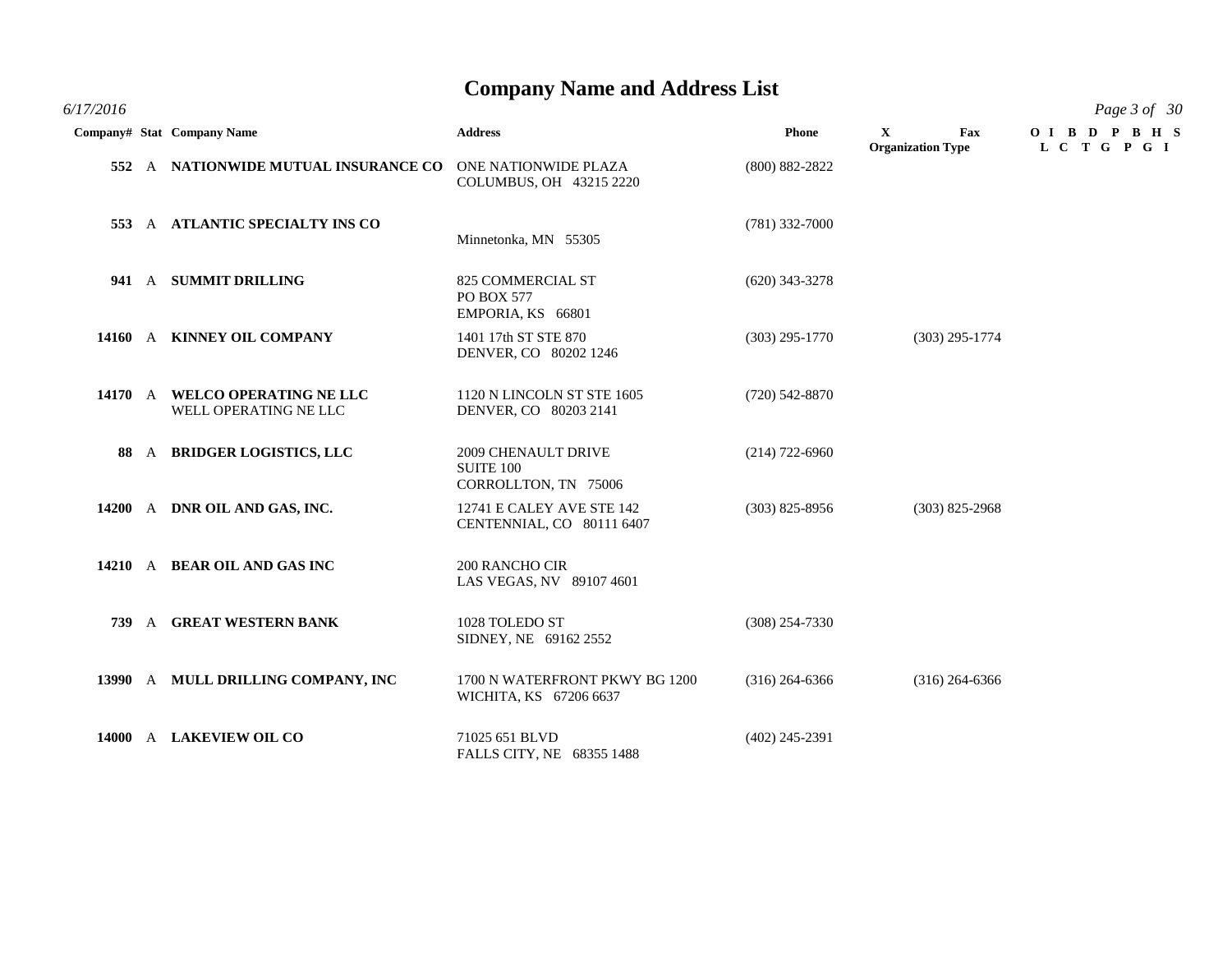*6/17/2016 Page 3 of 30*

|  | Company# Stat Company Name                              | <b>Address</b>                                                         | Phone              | $\mathbf{X}$<br>Fax<br><b>Organization Type</b> | OIBDPBHS<br>L C T G P G I |
|--|---------------------------------------------------------|------------------------------------------------------------------------|--------------------|-------------------------------------------------|---------------------------|
|  | 552 A NATIONWIDE MUTUAL INSURANCE CO                    | ONE NATIONWIDE PLAZA<br>COLUMBUS, OH 43215 2220                        | $(800) 882 - 2822$ |                                                 |                           |
|  | 553 A ATLANTIC SPECIALTY INS CO                         | Minnetonka, MN 55305                                                   | $(781)$ 332-7000   |                                                 |                           |
|  | 941 A SUMMIT DRILLING                                   | 825 COMMERCIAL ST<br>PO BOX 577<br>EMPORIA, KS 66801                   | $(620)$ 343-3278   |                                                 |                           |
|  | 14160 A KINNEY OIL COMPANY                              | 1401 17th ST STE 870<br>DENVER, CO 80202 1246                          | $(303)$ 295-1770   | $(303)$ 295-1774                                |                           |
|  | 14170 A WELCO OPERATING NE LLC<br>WELL OPERATING NE LLC | 1120 N LINCOLN ST STE 1605<br>DENVER, CO 80203 2141                    | $(720)$ 542-8870   |                                                 |                           |
|  | 88 A BRIDGER LOGISTICS, LLC                             | <b>2009 CHENAULT DRIVE</b><br><b>SUITE 100</b><br>CORROLLTON, TN 75006 | $(214)$ 722-6960   |                                                 |                           |
|  | 14200 A DNR OIL AND GAS, INC.                           | 12741 E CALEY AVE STE 142<br>CENTENNIAL, CO 80111 6407                 | $(303)$ 825-8956   | $(303)$ 825-2968                                |                           |
|  | 14210 A BEAR OIL AND GAS INC                            | 200 RANCHO CIR<br>LAS VEGAS, NV 89107 4601                             |                    |                                                 |                           |
|  | 739 A GREAT WESTERN BANK                                | 1028 TOLEDO ST<br>SIDNEY, NE 69162 2552                                | $(308)$ 254-7330   |                                                 |                           |
|  | 13990 A MULL DRILLING COMPANY, INC                      | 1700 N WATERFRONT PKWY BG 1200<br>WICHITA, KS 67206 6637               | $(316)$ 264-6366   | $(316)$ 264-6366                                |                           |
|  | 14000 A LAKEVIEW OIL CO                                 | 71025 651 BLVD<br>FALLS CITY, NE 68355 1488                            | $(402)$ 245-2391   |                                                 |                           |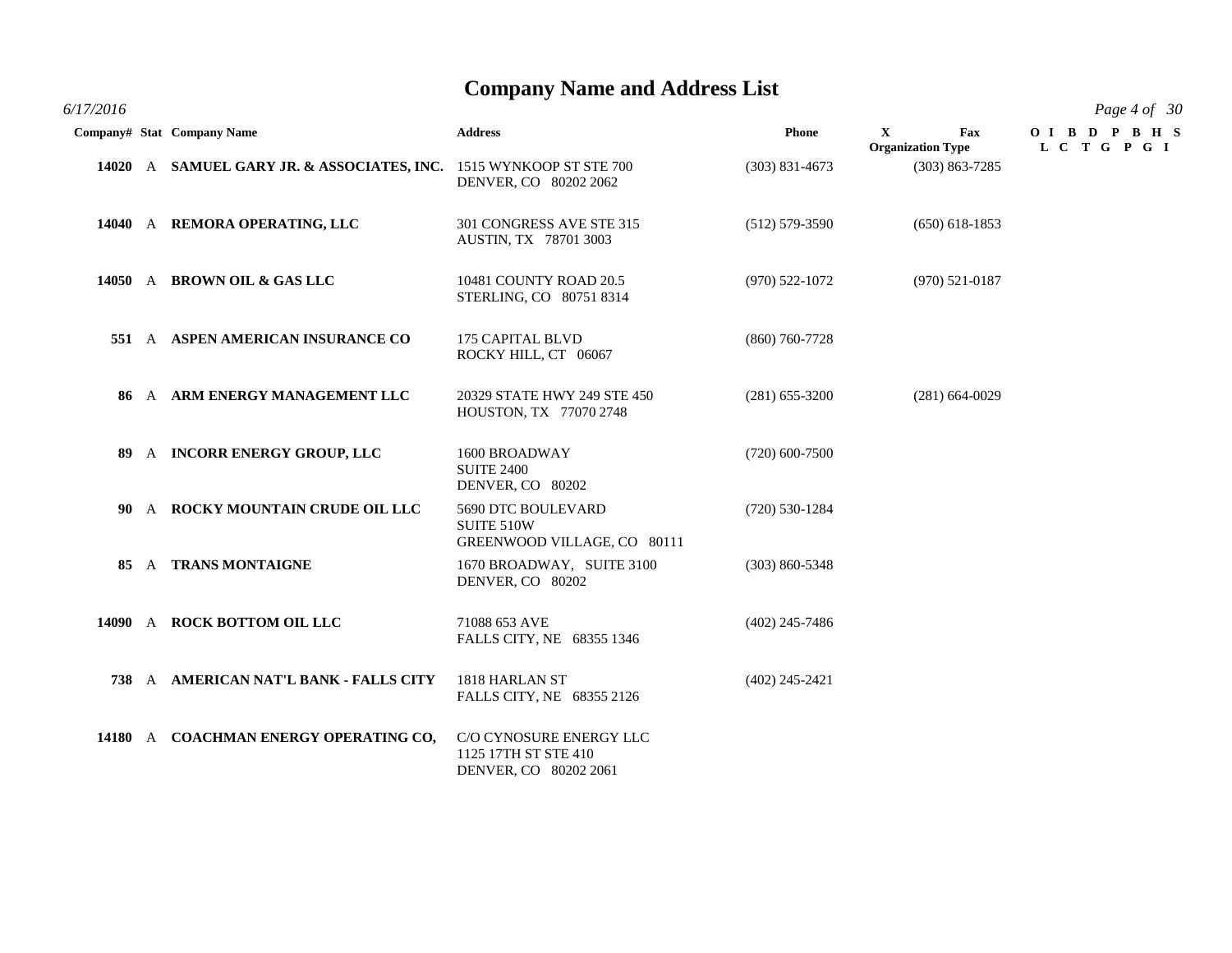| 6/17/2016 |                                                                    |                                                                          |                    |                                                 | Page 4 of 30               |
|-----------|--------------------------------------------------------------------|--------------------------------------------------------------------------|--------------------|-------------------------------------------------|----------------------------|
|           | Company# Stat Company Name                                         | <b>Address</b>                                                           | <b>Phone</b>       | $\mathbf{X}$<br>Fax<br><b>Organization Type</b> | OIBD PBHS<br>L C T G P G I |
|           | 14020 A SAMUEL GARY JR. & ASSOCIATES, INC. 1515 WYNKOOP ST STE 700 | DENVER, CO 80202 2062                                                    | $(303)$ 831-4673   | $(303) 863 - 7285$                              |                            |
|           | 14040 A REMORA OPERATING, LLC                                      | 301 CONGRESS AVE STE 315<br><b>AUSTIN, TX 78701 3003</b>                 | $(512)$ 579-3590   | $(650)$ 618-1853                                |                            |
|           | 14050 A BROWN OIL & GAS LLC                                        | 10481 COUNTY ROAD 20.5<br>STERLING, CO 80751 8314                        | $(970)$ 522-1072   | $(970) 521 - 0187$                              |                            |
|           | 551 A ASPEN AMERICAN INSURANCE CO                                  | 175 CAPITAL BLVD<br>ROCKY HILL, CT 06067                                 | $(860)$ 760-7728   |                                                 |                            |
|           | 86 A ARM ENERGY MANAGEMENT LLC                                     | 20329 STATE HWY 249 STE 450<br>HOUSTON, TX 77070 2748                    | $(281)$ 655-3200   | $(281)$ 664-0029                                |                            |
|           | 89 A INCORR ENERGY GROUP, LLC                                      | 1600 BROADWAY<br><b>SUITE 2400</b><br>DENVER, CO 80202                   | $(720)$ 600-7500   |                                                 |                            |
|           | 90 A ROCKY MOUNTAIN CRUDE OIL LLC                                  | 5690 DTC BOULEVARD<br>SUITE 510W<br>GREENWOOD VILLAGE, CO 80111          | $(720)$ 530-1284   |                                                 |                            |
|           | 85 A TRANS MONTAIGNE                                               | 1670 BROADWAY, SUITE 3100<br>DENVER, CO 80202                            | $(303) 860 - 5348$ |                                                 |                            |
|           | 14090 A ROCK BOTTOM OIL LLC                                        | 71088 653 AVE<br>FALLS CITY, NE 68355 1346                               | $(402)$ 245-7486   |                                                 |                            |
|           | 738 A AMERICAN NAT'L BANK - FALLS CITY                             | 1818 HARLAN ST<br>FALLS CITY, NE 68355 2126                              | $(402)$ 245-2421   |                                                 |                            |
|           | 14180 A COACHMAN ENERGY OPERATING CO,                              | C/O CYNOSURE ENERGY LLC<br>1125 17TH ST STE 410<br>DENVER, CO 80202 2061 |                    |                                                 |                            |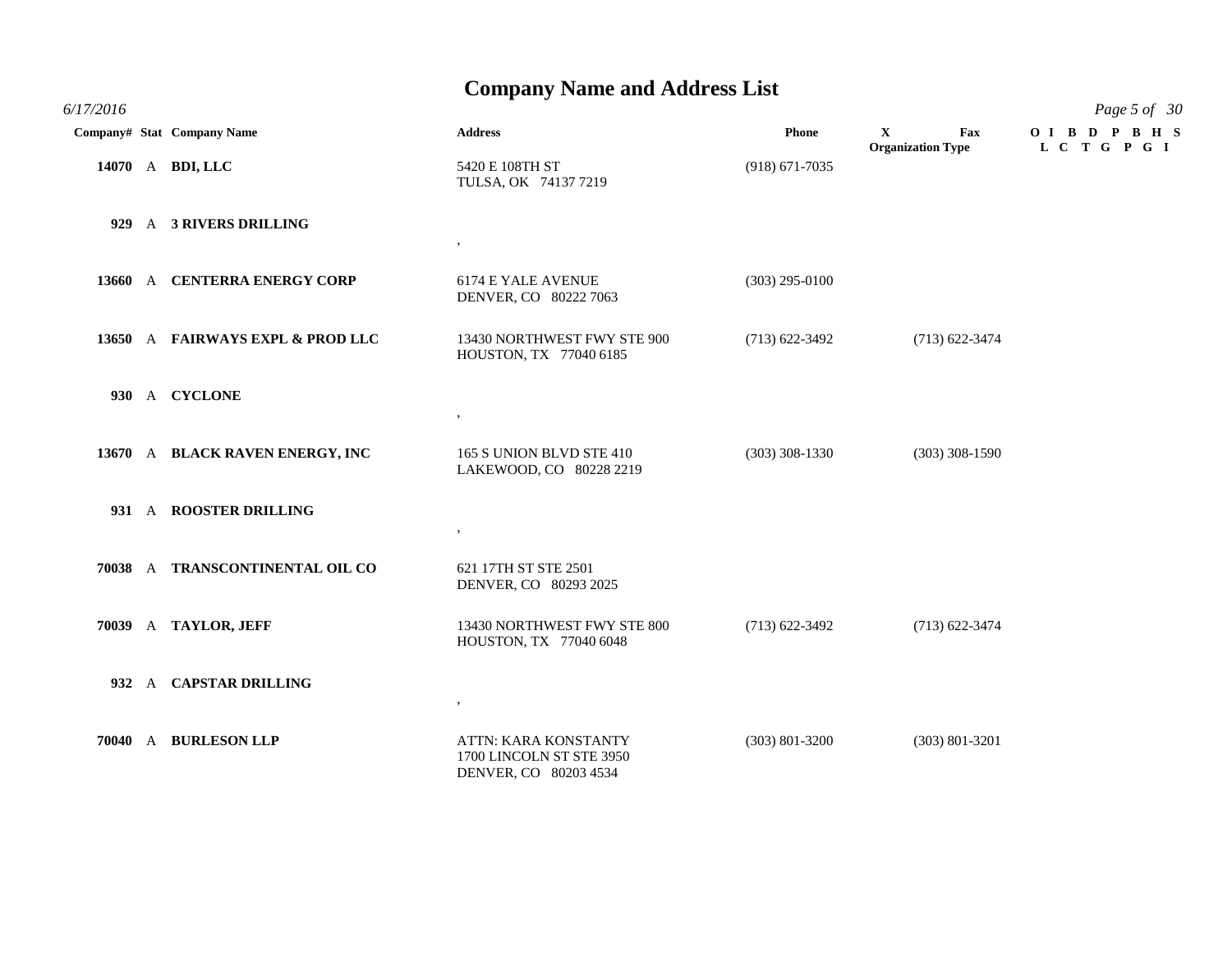*6/17/2016 Page 5 of 30* **Company# Stat Company Name Address Phone X Fax O I B D P B H S**

|  | $\alpha$ , $\alpha$ , $\beta$ , $\beta$ , $\alpha$ , $\beta$ , $\alpha$ , $\beta$ , $\alpha$ , $\beta$ , $\alpha$ , $\beta$ , $\alpha$ , $\beta$ , $\alpha$ , $\beta$ , $\alpha$ , $\beta$ , $\alpha$ , $\beta$ , $\alpha$ , $\beta$ , $\alpha$ , $\beta$ , $\alpha$ , $\beta$ , $\alpha$ , $\beta$ , $\alpha$ , $\beta$ , $\alpha$ , $\beta$ , $\alpha$ , $\beta$ , $\alpha$ , $\beta$ , $\alpha$ , |                                                                                  | 1 none             | <b>Organization Type</b> | L C T G P G I |
|--|------------------------------------------------------------------------------------------------------------------------------------------------------------------------------------------------------------------------------------------------------------------------------------------------------------------------------------------------------------------------------------------------------|----------------------------------------------------------------------------------|--------------------|--------------------------|---------------|
|  | 14070 A BDI, LLC                                                                                                                                                                                                                                                                                                                                                                                     | 5420 E 108TH ST<br>TULSA, OK 74137 7219                                          | $(918) 671 - 7035$ |                          |               |
|  | 929 A 3 RIVERS DRILLING                                                                                                                                                                                                                                                                                                                                                                              | $\,$                                                                             |                    |                          |               |
|  | 13660 A CENTERRA ENERGY CORP                                                                                                                                                                                                                                                                                                                                                                         | 6174 E YALE AVENUE<br>DENVER, CO 80222 7063                                      | $(303)$ 295-0100   |                          |               |
|  | 13650 A FAIRWAYS EXPL & PROD LLC                                                                                                                                                                                                                                                                                                                                                                     | 13430 NORTHWEST FWY STE 900<br>HOUSTON, TX 77040 6185                            | $(713)$ 622-3492   | $(713)$ 622-3474         |               |
|  | 930 A CYCLONE                                                                                                                                                                                                                                                                                                                                                                                        | $\,$                                                                             |                    |                          |               |
|  | 13670 A BLACK RAVEN ENERGY, INC                                                                                                                                                                                                                                                                                                                                                                      | 165 S UNION BLVD STE 410<br>LAKEWOOD, CO 80228 2219                              | $(303)$ 308-1330   | $(303)$ 308-1590         |               |
|  | 931 A ROOSTER DRILLING                                                                                                                                                                                                                                                                                                                                                                               | $\,$                                                                             |                    |                          |               |
|  | 70038 A TRANSCONTINENTAL OIL CO                                                                                                                                                                                                                                                                                                                                                                      | 621 17TH ST STE 2501<br>DENVER, CO 80293 2025                                    |                    |                          |               |
|  | 70039 A TAYLOR, JEFF                                                                                                                                                                                                                                                                                                                                                                                 | 13430 NORTHWEST FWY STE 800<br>HOUSTON, TX 77040 6048                            | $(713)$ 622-3492   | $(713)$ 622-3474         |               |
|  | 932 A CAPSTAR DRILLING                                                                                                                                                                                                                                                                                                                                                                               | $\,$                                                                             |                    |                          |               |
|  | 70040 A BURLESON LLP                                                                                                                                                                                                                                                                                                                                                                                 | <b>ATTN: KARA KONSTANTY</b><br>1700 LINCOLN ST STE 3950<br>DENVER, CO 80203 4534 | $(303)$ 801-3200   | $(303) 801 - 3201$       |               |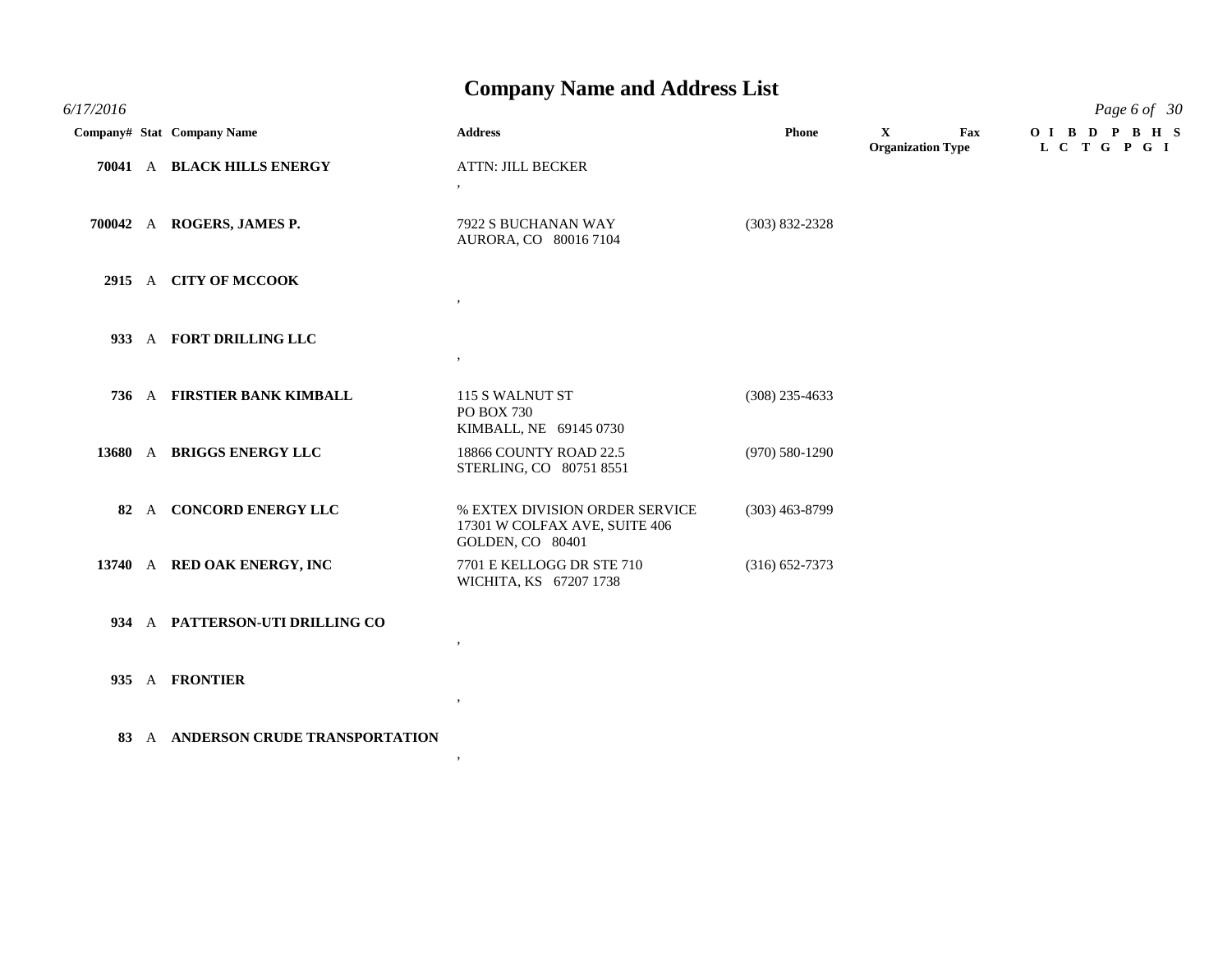| 6/17/2016 |                             |                                                                                     |                    |                                                | Page 6 of 30               |
|-----------|-----------------------------|-------------------------------------------------------------------------------------|--------------------|------------------------------------------------|----------------------------|
|           | Company# Stat Company Name  | <b>Address</b>                                                                      | <b>Phone</b>       | $\mathbf X$<br>Fax<br><b>Organization Type</b> | OIBD PBHS<br>L C T G P G I |
|           | 70041 A BLACK HILLS ENERGY  | <b>ATTN: JILL BECKER</b><br>$\,$                                                    |                    |                                                |                            |
|           | 700042 A ROGERS, JAMES P.   | 7922 S BUCHANAN WAY<br>AURORA, CO 80016 7104                                        | $(303) 832 - 2328$ |                                                |                            |
|           | 2915 A CITY OF MCCOOK       |                                                                                     |                    |                                                |                            |
| 933       | A FORT DRILLING LLC         | $, \,$                                                                              |                    |                                                |                            |
|           | 736 A FIRSTIER BANK KIMBALL | 115 S WALNUT ST<br>PO BOX 730<br>KIMBALL, NE 69145 0730                             | $(308)$ 235-4633   |                                                |                            |
|           | 13680 A BRIGGS ENERGY LLC   | 18866 COUNTY ROAD 22.5<br>STERLING, CO 80751 8551                                   | $(970) 580 - 1290$ |                                                |                            |
|           | 82 A CONCORD ENERGY LLC     | % EXTEX DIVISION ORDER SERVICE<br>17301 W COLFAX AVE, SUITE 406<br>GOLDEN, CO 80401 | $(303)$ 463-8799   |                                                |                            |
|           | 13740 A RED OAK ENERGY, INC | 7701 E KELLOGG DR STE 710<br>WICHITA, KS 67207 1738                                 | $(316)$ 652-7373   |                                                |                            |
| 934       | A PATTERSON-UTI DRILLING CO | $\cdot$                                                                             |                    |                                                |                            |
|           | 935 A FRONTIER              |                                                                                     |                    |                                                |                            |

**83** A **ANDERSON CRUDE TRANSPORTATION**

 $\overline{\phantom{a}}$ 

,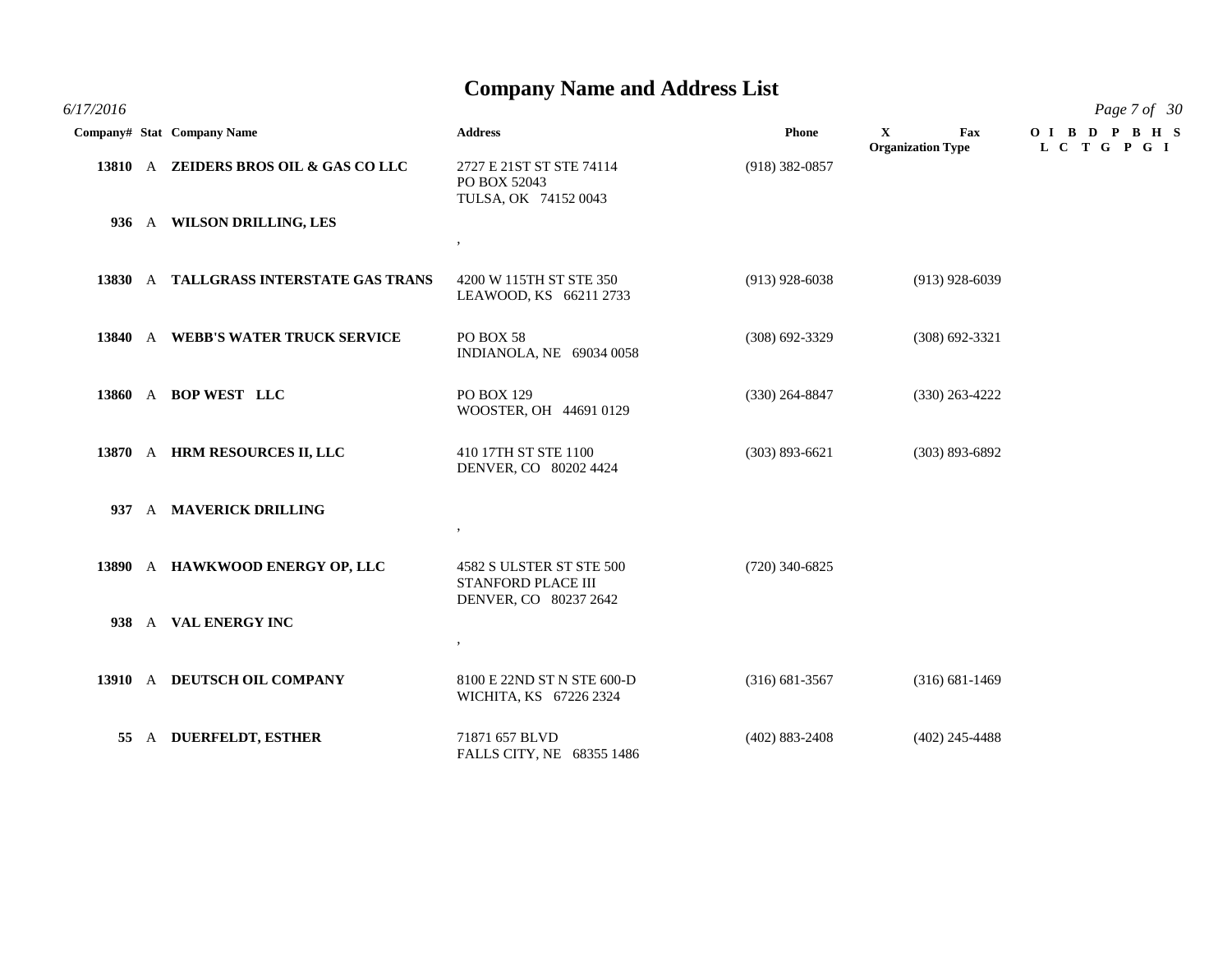|  | Company# Stat Company Name             | <b>Address</b>                                                          | <b>Phone</b>       | $\mathbf{X}$<br>Fax<br><b>Organization Type</b> | OIBD PBHS<br>L C T G P G I |
|--|----------------------------------------|-------------------------------------------------------------------------|--------------------|-------------------------------------------------|----------------------------|
|  | 13810 A ZEIDERS BROS OIL & GAS CO LLC  | 2727 E 21ST ST STE 74114<br>PO BOX 52043<br>TULSA, OK 74152 0043        | $(918)$ 382-0857   |                                                 |                            |
|  | 936 A WILSON DRILLING, LES             | $\cdot$                                                                 |                    |                                                 |                            |
|  | 13830 A TALLGRASS INTERSTATE GAS TRANS | 4200 W 115TH ST STE 350<br>LEAWOOD, KS 66211 2733                       | $(913)$ 928-6038   | $(913)$ 928-6039                                |                            |
|  | 13840 A WEBB'S WATER TRUCK SERVICE     | PO BOX 58<br>INDIANOLA, NE 69034 0058                                   | $(308) 692 - 3329$ | $(308)$ 692-3321                                |                            |
|  | 13860 A BOP WEST LLC                   | PO BOX 129<br>WOOSTER, OH 44691 0129                                    | $(330)$ 264-8847   | $(330)$ 263-4222                                |                            |
|  | 13870 A HRM RESOURCES II, LLC          | 410 17TH ST STE 1100<br>DENVER, CO 80202 4424                           | $(303) 893 - 6621$ | $(303) 893 - 6892$                              |                            |
|  | 937 A MAVERICK DRILLING                | $\,$                                                                    |                    |                                                 |                            |
|  | 13890 A HAWKWOOD ENERGY OP, LLC        | 4582 S ULSTER ST STE 500<br>STANFORD PLACE III<br>DENVER, CO 80237 2642 | $(720)$ 340-6825   |                                                 |                            |
|  | 938 A VAL ENERGY INC                   | $\bullet$                                                               |                    |                                                 |                            |
|  | 13910 A DEUTSCH OIL COMPANY            | 8100 E 22ND ST N STE 600-D<br>WICHITA, KS 67226 2324                    | $(316) 681 - 3567$ | $(316) 681 - 1469$                              |                            |
|  | 55 A DUERFELDT, ESTHER                 | 71871 657 BLVD<br>FALLS CITY, NE 68355 1486                             | $(402) 883 - 2408$ | $(402)$ 245-4488                                |                            |

*6/17/2016 Page 7 of 30*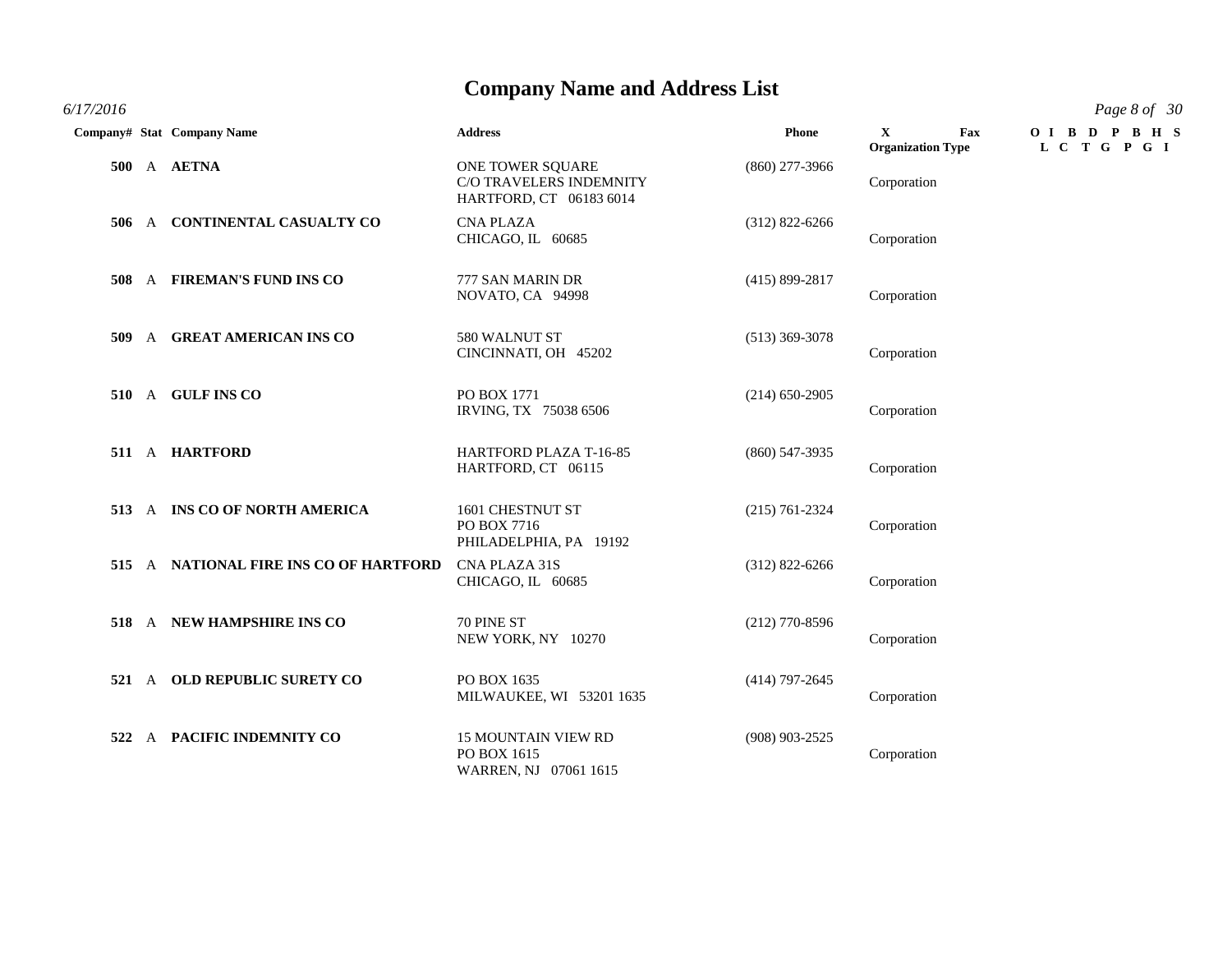*6/17/2016 Page 8 of 30*

|     | Company# Stat Company Name         | <b>Address</b>                                                                | <b>Phone</b>       | $\mathbf{X}$<br>Fax<br><b>Organization Type</b> | OIBDPBHS<br>L C T G P G I |
|-----|------------------------------------|-------------------------------------------------------------------------------|--------------------|-------------------------------------------------|---------------------------|
|     | 500 A AETNA                        | ONE TOWER SQUARE<br><b>C/O TRAVELERS INDEMNITY</b><br>HARTFORD, CT 06183 6014 | $(860)$ 277-3966   | Corporation                                     |                           |
| 506 | A CONTINENTAL CASUALTY CO          | <b>CNA PLAZA</b><br>CHICAGO, IL 60685                                         | $(312)$ 822-6266   | Corporation                                     |                           |
| 508 | A FIREMAN'S FUND INS CO            | 777 SAN MARIN DR<br>NOVATO, CA 94998                                          | $(415) 899 - 2817$ | Corporation                                     |                           |
| 509 | A GREAT AMERICAN INS CO            | 580 WALNUT ST<br>CINCINNATI, OH 45202                                         | $(513)$ 369-3078   | Corporation                                     |                           |
|     | 510 A GULF INS CO                  | PO BOX 1771<br>IRVING, TX 75038 6506                                          | $(214)$ 650-2905   | Corporation                                     |                           |
|     | 511 A HARTFORD                     | HARTFORD PLAZA T-16-85<br>HARTFORD, CT 06115                                  | $(860)$ 547-3935   | Corporation                                     |                           |
|     | 513 A INS CO OF NORTH AMERICA      | 1601 CHESTNUT ST<br>PO BOX 7716<br>PHILADELPHIA, PA 19192                     | $(215) 761 - 2324$ | Corporation                                     |                           |
| 515 | A NATIONAL FIRE INS CO OF HARTFORD | CNA PLAZA 31S<br>CHICAGO, IL 60685                                            | $(312)$ 822-6266   | Corporation                                     |                           |
|     | 518 A NEW HAMPSHIRE INS CO         | 70 PINE ST<br>NEW YORK, NY 10270                                              | $(212)$ 770-8596   | Corporation                                     |                           |
|     | 521 A OLD REPUBLIC SURETY CO       | PO BOX 1635<br>MILWAUKEE, WI 53201 1635                                       | $(414)$ 797-2645   | Corporation                                     |                           |
| 522 | A PACIFIC INDEMNITY CO             | <b>15 MOUNTAIN VIEW RD</b><br>PO BOX 1615<br>WARREN, NJ 07061 1615            | $(908)$ 903-2525   | Corporation                                     |                           |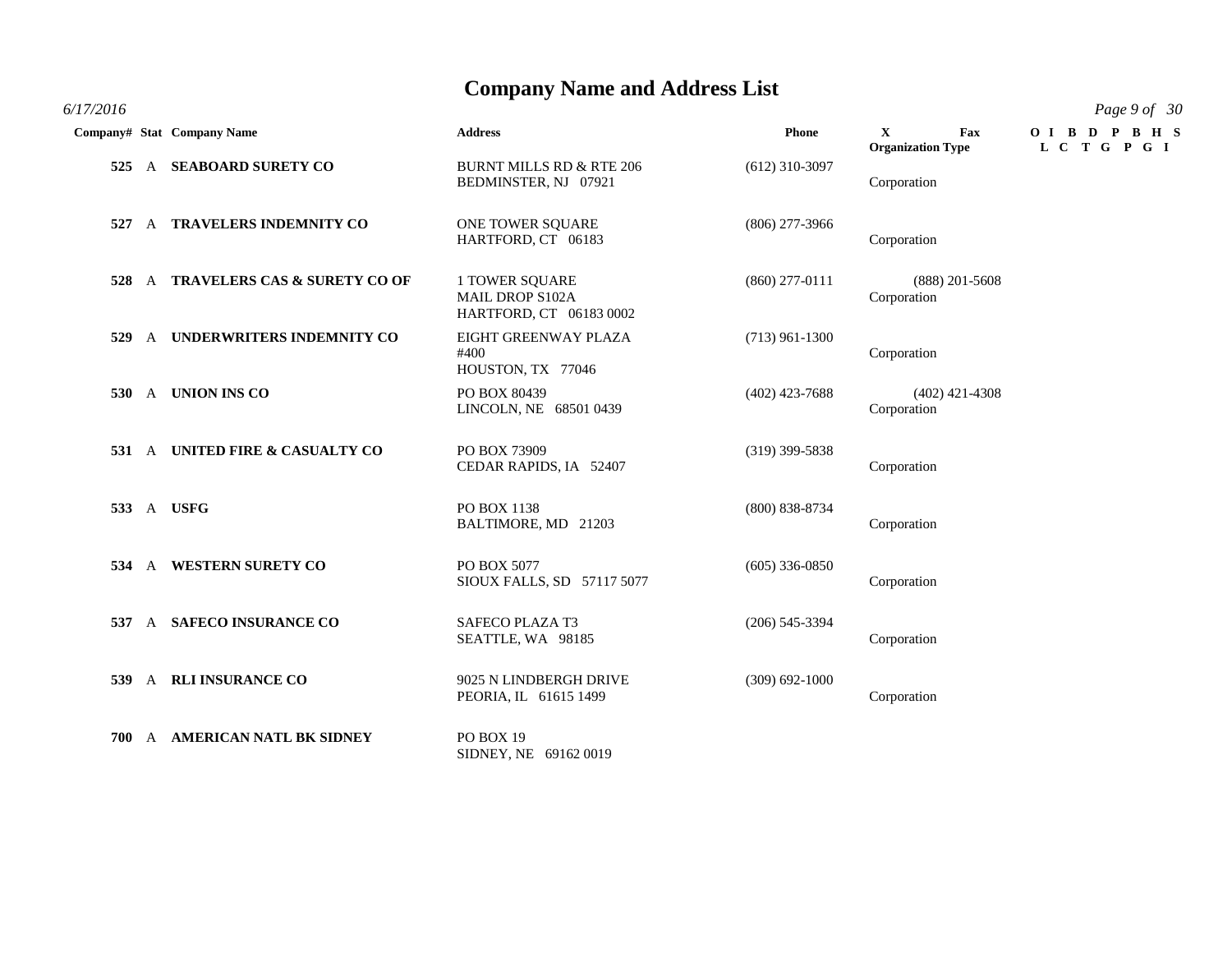#### *6/17/2016 Page 9 of 30*

|      |              | Company# Stat Company Name              | <b>Address</b>                                                      | <b>Phone</b>       | $\mathbf{X}$<br>Fax<br><b>Organization Type</b> | OIBDPBHS<br>L C T G P G I |
|------|--------------|-----------------------------------------|---------------------------------------------------------------------|--------------------|-------------------------------------------------|---------------------------|
| 525  |              | A SEABOARD SURETY CO                    | <b>BURNT MILLS RD &amp; RTE 206</b><br>BEDMINSTER, NJ 07921         | $(612)$ 310-3097   | Corporation                                     |                           |
|      |              | 527 A TRAVELERS INDEMNITY CO            | ONE TOWER SQUARE<br>HARTFORD, CT 06183                              | $(806)$ 277-3966   | Corporation                                     |                           |
| 528  | $\mathbf{A}$ | <b>TRAVELERS CAS &amp; SURETY CO OF</b> | 1 TOWER SQUARE<br><b>MAIL DROP S102A</b><br>HARTFORD, CT 06183 0002 | $(860)$ 277-0111   | $(888)$ 201-5608<br>Corporation                 |                           |
| 529  | $\mathbf{A}$ | UNDERWRITERS INDEMNITY CO               | EIGHT GREENWAY PLAZA<br>#400<br>HOUSTON, TX 77046                   | $(713)$ 961-1300   | Corporation                                     |                           |
|      |              | 530 A UNION INS CO                      | PO BOX 80439<br>LINCOLN, NE 68501 0439                              | $(402)$ 423-7688   | $(402)$ 421-4308<br>Corporation                 |                           |
|      |              | 531 A UNITED FIRE & CASUALTY CO         | PO BOX 73909<br>CEDAR RAPIDS, IA 52407                              | $(319)$ 399-5838   | Corporation                                     |                           |
|      |              | 533 A USFG                              | PO BOX 1138<br>BALTIMORE, MD 21203                                  | $(800)$ 838-8734   | Corporation                                     |                           |
|      |              | 534 A WESTERN SURETY CO                 | PO BOX 5077<br>SIOUX FALLS, SD 57117 5077                           | $(605)$ 336-0850   | Corporation                                     |                           |
|      |              | 537 A SAFECO INSURANCE CO               | SAFECO PLAZA T3<br>SEATTLE, WA 98185                                | $(206)$ 545-3394   | Corporation                                     |                           |
| 539  |              | A RLI INSURANCE CO                      | 9025 N LINDBERGH DRIVE<br>PEORIA, IL 61615 1499                     | $(309) 692 - 1000$ | Corporation                                     |                           |
| 700- | A            | <b>AMERICAN NATL BK SIDNEY</b>          | PO BOX 19<br>SIDNEY, NE 69162 0019                                  |                    |                                                 |                           |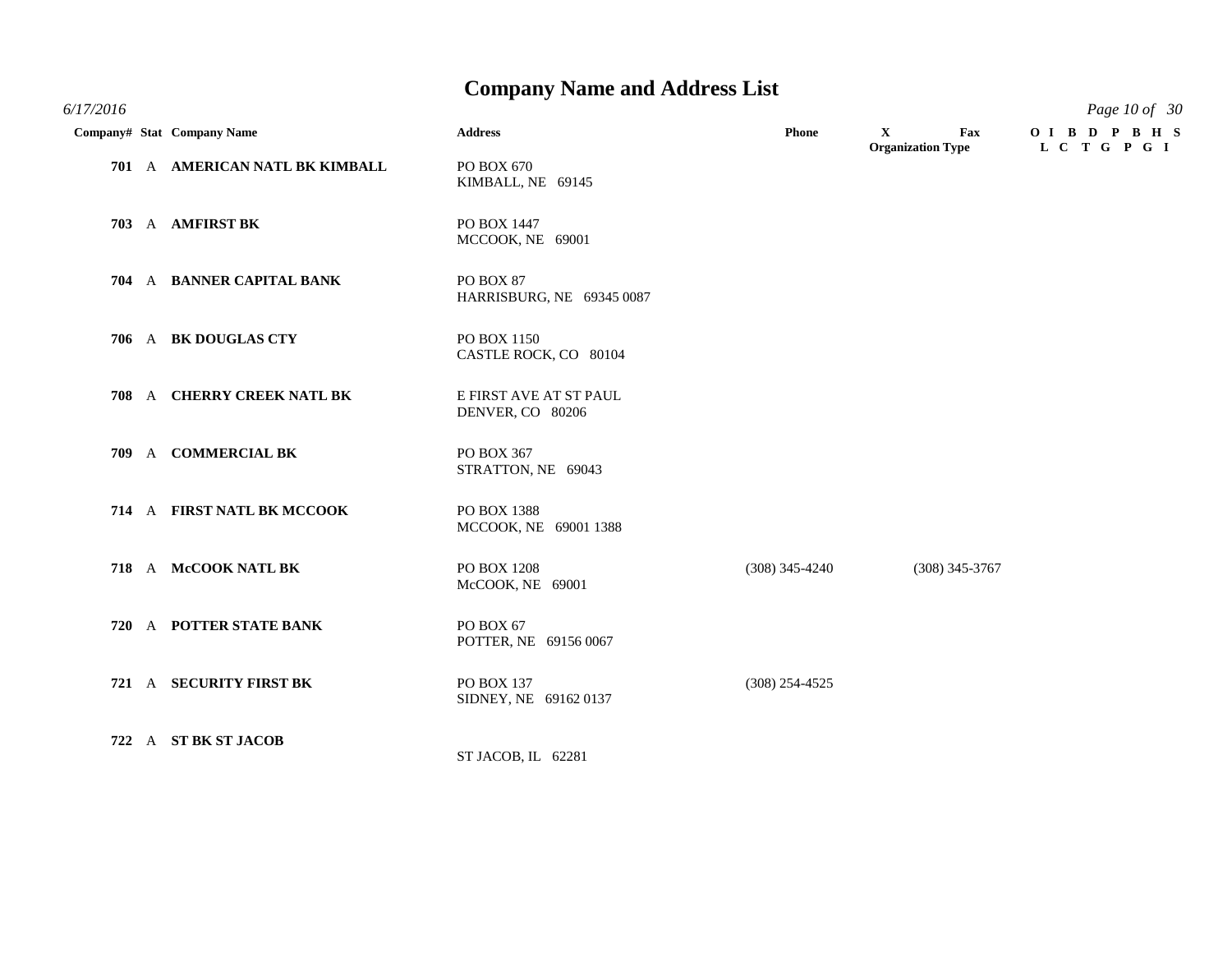|  | Company# Stat Company Name     | <b>Address</b>                             | Phone            | $\mathbf{X}$<br>Fax<br><b>Organization Type</b> | OIBD PBHS<br>L C T G P G I |
|--|--------------------------------|--------------------------------------------|------------------|-------------------------------------------------|----------------------------|
|  | 701 A AMERICAN NATL BK KIMBALL | PO BOX 670<br>KIMBALL, NE 69145            |                  |                                                 |                            |
|  | 703 A AMFIRST BK               | PO BOX 1447<br>MCCOOK, NE 69001            |                  |                                                 |                            |
|  | 704 A BANNER CAPITAL BANK      | PO BOX 87<br>HARRISBURG, NE 69345 0087     |                  |                                                 |                            |
|  | 706 A BK DOUGLAS CTY           | PO BOX 1150<br>CASTLE ROCK, CO 80104       |                  |                                                 |                            |
|  | 708 A CHERRY CREEK NATL BK     | E FIRST AVE AT ST PAUL<br>DENVER, CO 80206 |                  |                                                 |                            |
|  | 709 A COMMERCIAL BK            | PO BOX 367<br>STRATTON, NE 69043           |                  |                                                 |                            |
|  | 714 A FIRST NATL BK MCCOOK     | PO BOX 1388<br>MCCOOK, NE 69001 1388       |                  |                                                 |                            |
|  | 718 A McCOOK NATL BK           | PO BOX 1208<br>McCOOK, NE 69001            | $(308)$ 345-4240 | $(308)$ 345-3767                                |                            |
|  | 720 A POTTER STATE BANK        | PO BOX 67<br>POTTER, NE 69156 0067         |                  |                                                 |                            |
|  | 721 A SECURITY FIRST BK        | PO BOX 137<br>SIDNEY, NE 69162 0137        | $(308)$ 254-4525 |                                                 |                            |
|  | 722 A ST BK ST JACOB           | ST JACOB, IL 62281                         |                  |                                                 |                            |

*6/17/2016 Page 10 of 30*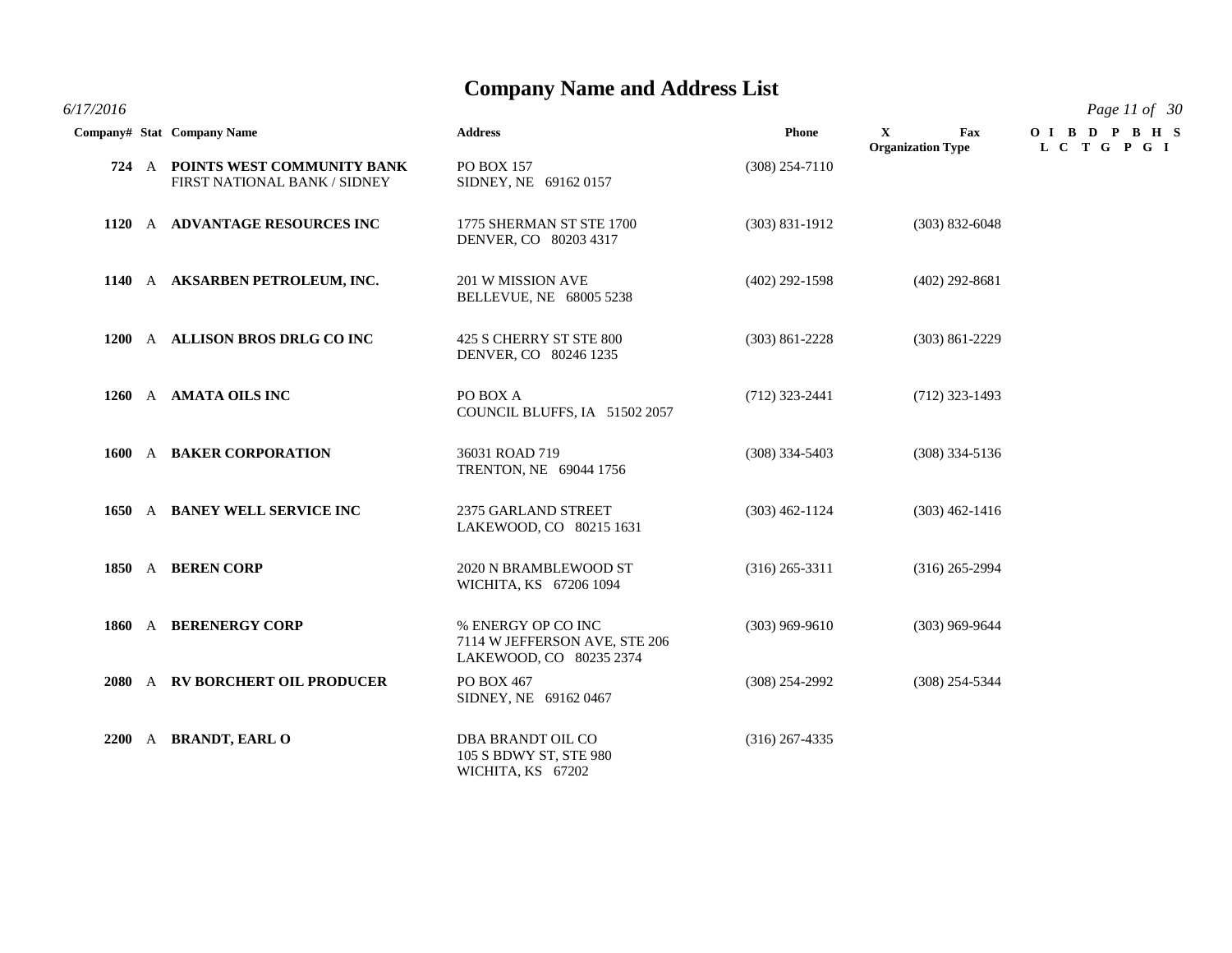*6/17/2016 Page 11 of 30*

|  | Company# Stat Company Name                                       | <b>Address</b>                                                                 | Phone              | $\mathbf{X}$<br>Fax<br><b>Organization Type</b> | OIBDPBHS<br>L C T G P G I |
|--|------------------------------------------------------------------|--------------------------------------------------------------------------------|--------------------|-------------------------------------------------|---------------------------|
|  | 724 A POINTS WEST COMMUNITY BANK<br>FIRST NATIONAL BANK / SIDNEY | <b>PO BOX 157</b><br>SIDNEY, NE 69162 0157                                     | $(308)$ 254-7110   |                                                 |                           |
|  | 1120 A ADVANTAGE RESOURCES INC                                   | 1775 SHERMAN ST STE 1700<br>DENVER, CO 80203 4317                              | $(303) 831 - 1912$ | $(303) 832 - 6048$                              |                           |
|  | 1140 A AKSARBEN PETROLEUM, INC.                                  | 201 W MISSION AVE<br>BELLEVUE, NE 68005 5238                                   | $(402)$ 292-1598   | $(402)$ 292-8681                                |                           |
|  | 1200 A ALLISON BROS DRLG CO INC                                  | 425 S CHERRY ST STE 800<br>DENVER, CO 80246 1235                               | $(303) 861 - 2228$ | $(303)$ 861-2229                                |                           |
|  | 1260 A AMATA OILS INC                                            | PO BOX A<br>COUNCIL BLUFFS, IA 51502 2057                                      | $(712)$ 323-2441   | $(712)$ 323-1493                                |                           |
|  | 1600 A BAKER CORPORATION                                         | 36031 ROAD 719<br>TRENTON, NE 69044 1756                                       | $(308)$ 334-5403   | $(308)$ 334-5136                                |                           |
|  | 1650 A BANEY WELL SERVICE INC                                    | 2375 GARLAND STREET<br>LAKEWOOD, CO 80215 1631                                 | $(303)$ 462-1124   | $(303)$ 462-1416                                |                           |
|  | 1850 A BEREN CORP                                                | 2020 N BRAMBLEWOOD ST<br>WICHITA, KS 67206 1094                                | $(316)$ 265-3311   | $(316)$ 265-2994                                |                           |
|  | 1860 A BERENERGY CORP                                            | % ENERGY OP CO INC<br>7114 W JEFFERSON AVE, STE 206<br>LAKEWOOD, CO 80235 2374 | $(303)$ 969-9610   | $(303)$ 969-9644                                |                           |
|  | 2080 A RV BORCHERT OIL PRODUCER                                  | PO BOX 467<br>SIDNEY, NE 69162 0467                                            | $(308)$ 254-2992   | $(308)$ 254-5344                                |                           |
|  | 2200 A BRANDT, EARL O                                            | <b>DBA BRANDT OIL CO</b><br>105 S BDWY ST, STE 980<br>WICHITA, KS 67202        | $(316)$ 267-4335   |                                                 |                           |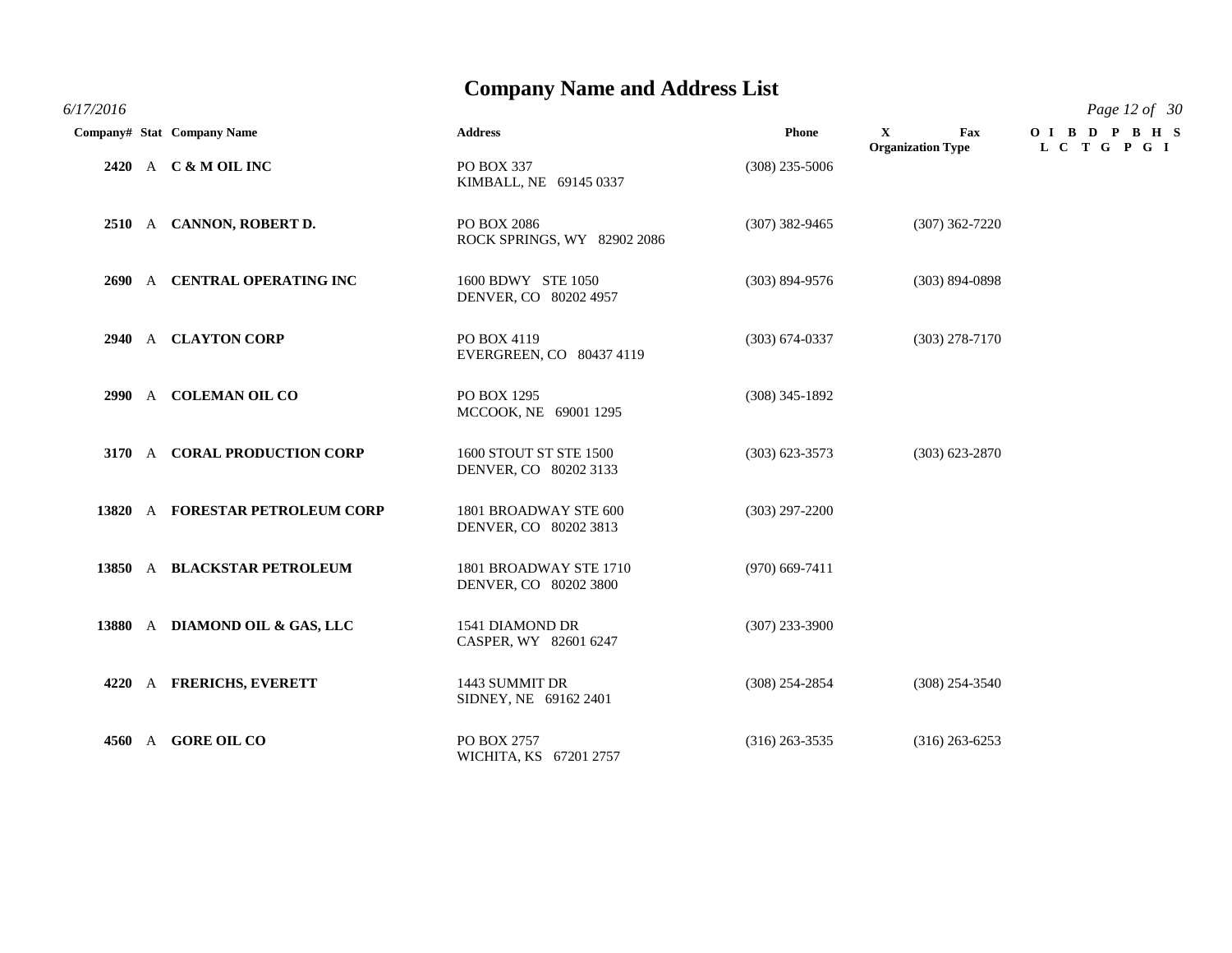*6/17/2016 Page 12 of 30*

|  | Company# Stat Company Name      | <b>Address</b>                                  | <b>Phone</b>       | $\mathbf{X}$<br>Fax<br><b>Organization Type</b> | OIBDPBHS<br>L C T G P G I |
|--|---------------------------------|-------------------------------------------------|--------------------|-------------------------------------------------|---------------------------|
|  | 2420 A C & M OIL INC            | PO BOX 337<br>KIMBALL, NE 69145 0337            | $(308)$ 235-5006   |                                                 |                           |
|  | 2510 A CANNON, ROBERT D.        | PO BOX 2086<br>ROCK SPRINGS, WY 82902 2086      | $(307)$ 382-9465   | $(307)$ 362-7220                                |                           |
|  | 2690 A CENTRAL OPERATING INC    | 1600 BDWY STE 1050<br>DENVER, CO 80202 4957     | $(303) 894 - 9576$ | $(303) 894 - 0898$                              |                           |
|  | 2940 A CLAYTON CORP             | PO BOX 4119<br>EVERGREEN, CO 80437 4119         | $(303) 674 - 0337$ | $(303)$ 278-7170                                |                           |
|  | 2990 A COLEMAN OIL CO           | PO BOX 1295<br>MCCOOK, NE 69001 1295            | $(308)$ 345-1892   |                                                 |                           |
|  | 3170 A CORAL PRODUCTION CORP    | 1600 STOUT ST STE 1500<br>DENVER, CO 80202 3133 | $(303)$ 623-3573   | $(303) 623 - 2870$                              |                           |
|  | 13820 A FORESTAR PETROLEUM CORP | 1801 BROADWAY STE 600<br>DENVER, CO 80202 3813  | $(303)$ 297-2200   |                                                 |                           |
|  | 13850 A BLACKSTAR PETROLEUM     | 1801 BROADWAY STE 1710<br>DENVER, CO 80202 3800 | $(970)$ 669-7411   |                                                 |                           |
|  | 13880 A DIAMOND OIL & GAS, LLC  | 1541 DIAMOND DR<br>CASPER, WY 82601 6247        | $(307)$ 233-3900   |                                                 |                           |
|  | 4220 A FRERICHS, EVERETT        | 1443 SUMMIT DR<br>SIDNEY, NE 69162 2401         | $(308)$ 254-2854   | $(308)$ 254-3540                                |                           |
|  | 4560 A GORE OIL CO              | PO BOX 2757<br>WICHITA, KS 67201 2757           | $(316)$ 263-3535   | $(316)$ 263-6253                                |                           |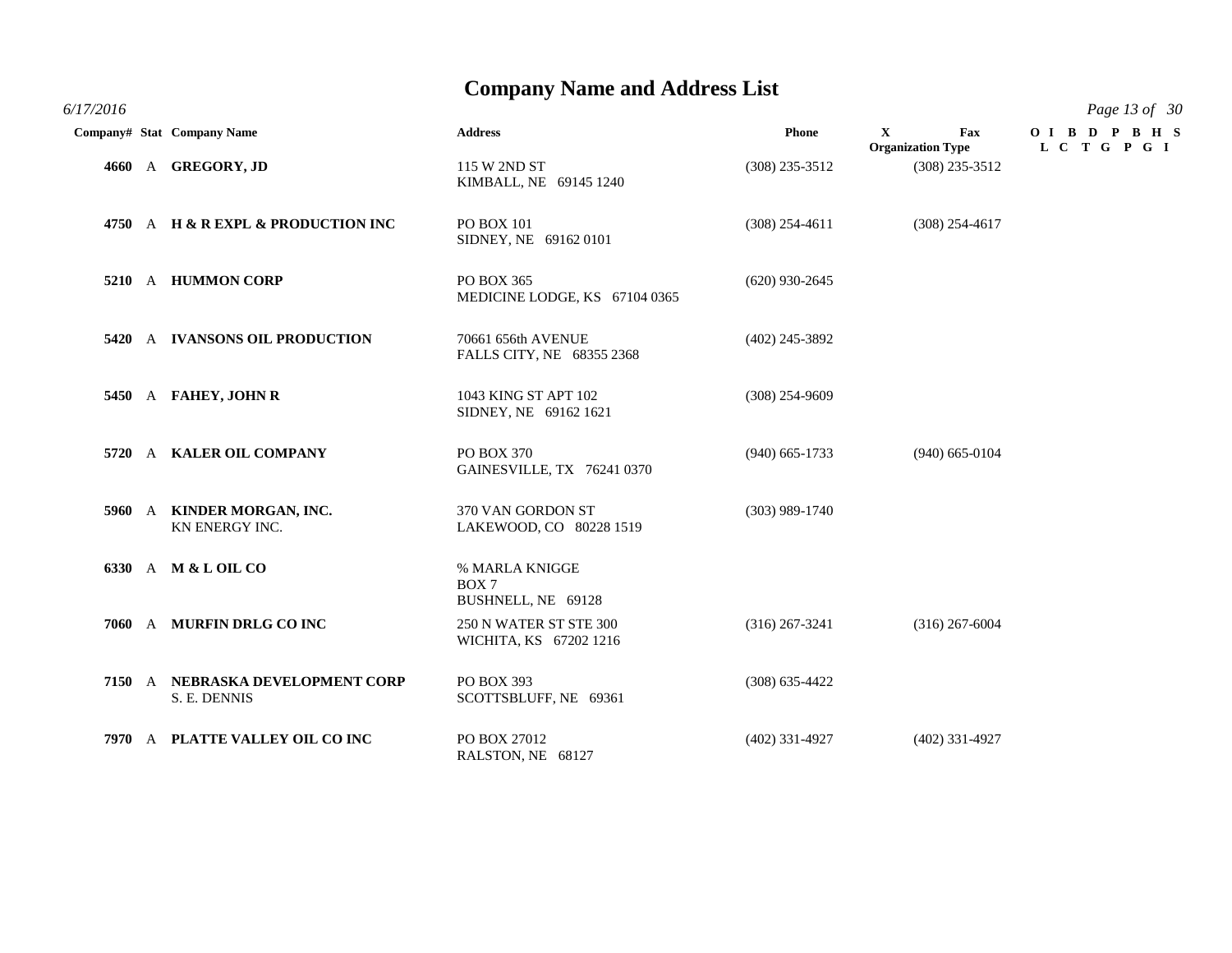*6/17/2016 Page 13 of 30*

|  | Company# Stat Company Name                       | <b>Address</b>                                   | <b>Phone</b>     | $\mathbf{X}$<br>Fax<br><b>Organization Type</b> | OIBDPBHS<br>L C T G P G I |
|--|--------------------------------------------------|--------------------------------------------------|------------------|-------------------------------------------------|---------------------------|
|  | 4660 A GREGORY, JD                               | 115 W 2ND ST<br>KIMBALL, NE 69145 1240           | $(308)$ 235-3512 | $(308)$ 235-3512                                |                           |
|  | 4750 A H & R EXPL & PRODUCTION INC               | PO BOX 101<br>SIDNEY, NE 69162 0101              | $(308)$ 254-4611 | $(308)$ 254-4617                                |                           |
|  | 5210 A HUMMON CORP                               | PO BOX 365<br>MEDICINE LODGE, KS 67104 0365      | $(620)$ 930-2645 |                                                 |                           |
|  | 5420 A IVANSONS OIL PRODUCTION                   | 70661 656th AVENUE<br>FALLS CITY, NE 68355 2368  | $(402)$ 245-3892 |                                                 |                           |
|  | 5450 A FAHEY, JOHN R                             | 1043 KING ST APT 102<br>SIDNEY, NE 69162 1621    | $(308)$ 254-9609 |                                                 |                           |
|  | 5720 A KALER OIL COMPANY                         | PO BOX 370<br>GAINESVILLE, TX 76241 0370         | $(940)$ 665-1733 | $(940)$ 665-0104                                |                           |
|  | 5960 A KINDER MORGAN, INC.<br>KN ENERGY INC.     | 370 VAN GORDON ST<br>LAKEWOOD, CO 80228 1519     | $(303)$ 989-1740 |                                                 |                           |
|  | 6330 A M & L OIL CO                              | % MARLA KNIGGE<br>BOX 7<br>BUSHNELL, NE 69128    |                  |                                                 |                           |
|  | 7060 A MURFIN DRLG CO INC                        | 250 N WATER ST STE 300<br>WICHITA, KS 67202 1216 | $(316)$ 267-3241 | $(316)$ 267-6004                                |                           |
|  | 7150 A NEBRASKA DEVELOPMENT CORP<br>S. E. DENNIS | <b>PO BOX 393</b><br>SCOTTSBLUFF, NE 69361       | $(308)$ 635-4422 |                                                 |                           |
|  | 7970 A PLATTE VALLEY OIL CO INC                  | PO BOX 27012<br>RALSTON, NE 68127                | $(402)$ 331-4927 | $(402)$ 331-4927                                |                           |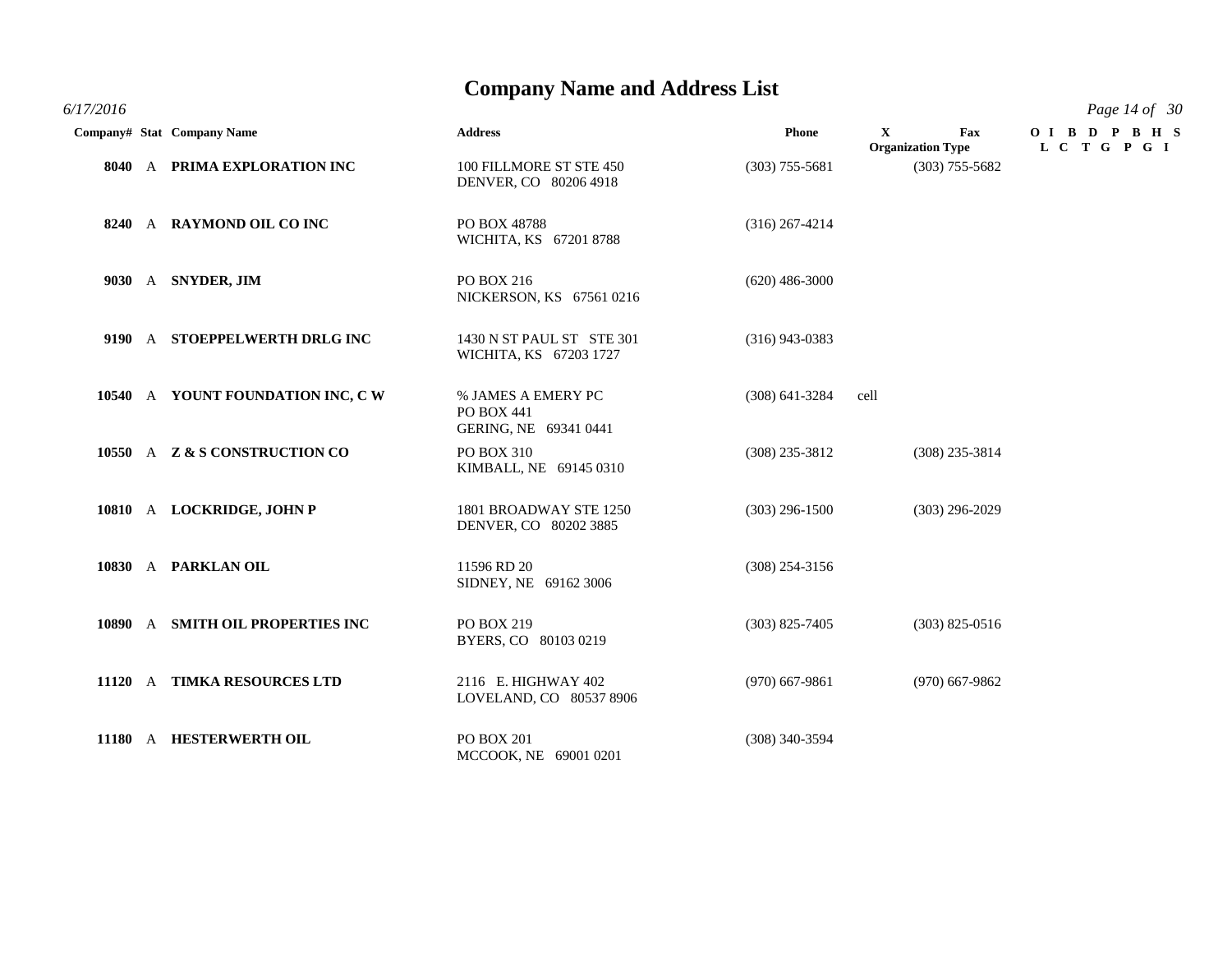*6/17/2016 Page 14 of 30*

|  | Company# Stat Company Name       | <b>Address</b>                                                   | <b>Phone</b>     | $\mathbf{X}$<br><b>Organization Type</b> | Fax              | OIBD PBHS<br>L C T G P G I |
|--|----------------------------------|------------------------------------------------------------------|------------------|------------------------------------------|------------------|----------------------------|
|  | 8040 A PRIMA EXPLORATION INC     | 100 FILLMORE ST STE 450<br>DENVER, CO 80206 4918                 | $(303)$ 755-5681 |                                          | $(303)$ 755-5682 |                            |
|  | 8240 A RAYMOND OIL CO INC        | PO BOX 48788<br>WICHITA, KS 67201 8788                           | $(316)$ 267-4214 |                                          |                  |                            |
|  | 9030 A SNYDER, JIM               | PO BOX 216<br>NICKERSON, KS 67561 0216                           | $(620)$ 486-3000 |                                          |                  |                            |
|  | 9190 A STOEPPELWERTH DRLG INC    | 1430 N ST PAUL ST STE 301<br>WICHITA, KS 67203 1727              | $(316)$ 943-0383 |                                          |                  |                            |
|  | 10540 A YOUNT FOUNDATION INC, CW | % JAMES A EMERY PC<br><b>PO BOX 441</b><br>GERING, NE 69341 0441 | $(308)$ 641-3284 | cell                                     |                  |                            |
|  | 10550 A Z & S CONSTRUCTION CO    | PO BOX 310<br>KIMBALL, NE 69145 0310                             | $(308)$ 235-3812 |                                          | $(308)$ 235-3814 |                            |
|  | 10810 A LOCKRIDGE, JOHN P        | 1801 BROADWAY STE 1250<br>DENVER, CO 80202 3885                  | $(303)$ 296-1500 |                                          | $(303)$ 296-2029 |                            |
|  | 10830 A PARKLAN OIL              | 11596 RD 20<br>SIDNEY, NE 69162 3006                             | $(308)$ 254-3156 |                                          |                  |                            |
|  | 10890 A SMITH OIL PROPERTIES INC | PO BOX 219<br>BYERS, CO 80103 0219                               | $(303)$ 825-7405 |                                          | $(303)$ 825-0516 |                            |
|  | 11120 A TIMKA RESOURCES LTD      | 2116 E. HIGHWAY 402<br>LOVELAND, CO 80537 8906                   | $(970)$ 667-9861 |                                          | $(970)$ 667-9862 |                            |
|  | 11180 A HESTERWERTH OIL          | <b>PO BOX 201</b><br>MCCOOK, NE 69001 0201                       | $(308)$ 340-3594 |                                          |                  |                            |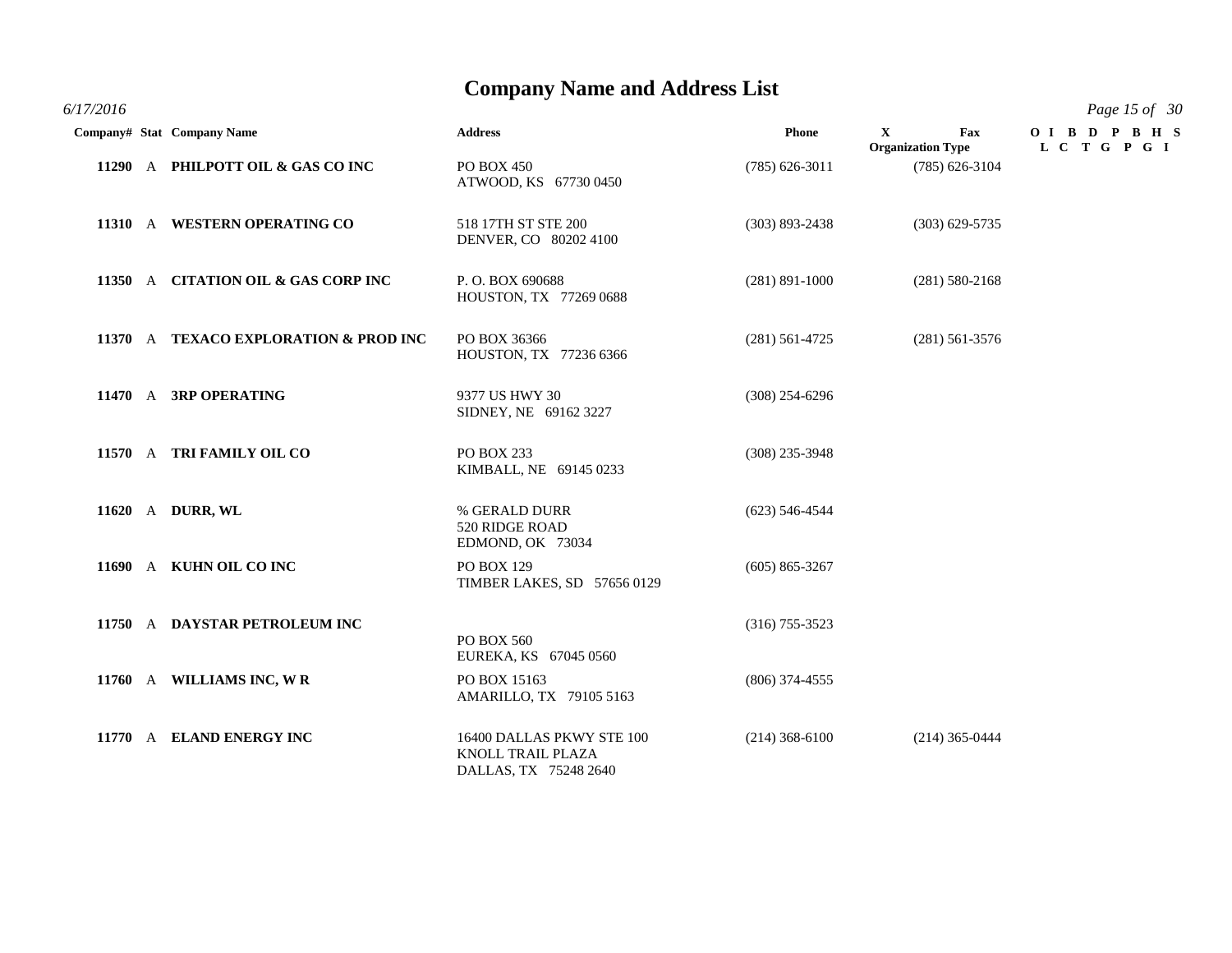*6/17/2016 Page 15 of 30*

|  | Company# Stat Company Name            | <b>Address</b>                                                          | Phone              | $\mathbf{X}$<br>Fax<br><b>Organization Type</b> | OIBD PBHS<br>L C T G P G I |
|--|---------------------------------------|-------------------------------------------------------------------------|--------------------|-------------------------------------------------|----------------------------|
|  | 11290 A PHILPOTT OIL & GAS CO INC     | PO BOX 450<br>ATWOOD, KS 67730 0450                                     | $(785) 626 - 3011$ | $(785)$ 626-3104                                |                            |
|  | 11310 A WESTERN OPERATING CO          | 518 17TH ST STE 200<br>DENVER, CO 80202 4100                            | $(303) 893 - 2438$ | $(303)$ 629-5735                                |                            |
|  | 11350 A CITATION OIL & GAS CORP INC   | P.O. BOX 690688<br>HOUSTON, TX 77269 0688                               | $(281)$ 891-1000   | $(281) 580 - 2168$                              |                            |
|  | 11370 A TEXACO EXPLORATION & PROD INC | PO BOX 36366<br>HOUSTON, TX 77236 6366                                  | $(281)$ 561-4725   | $(281)$ 561-3576                                |                            |
|  | 11470 A 3RP OPERATING                 | 9377 US HWY 30<br>SIDNEY, NE 69162 3227                                 | $(308)$ 254-6296   |                                                 |                            |
|  | 11570 A TRI FAMILY OIL CO             | PO BOX 233<br>KIMBALL, NE 69145 0233                                    | $(308)$ 235-3948   |                                                 |                            |
|  | 11620 A DURR, WL                      | % GERALD DURR<br>520 RIDGE ROAD<br>EDMOND, OK 73034                     | $(623)$ 546-4544   |                                                 |                            |
|  | 11690 A KUHN OIL CO INC               | <b>PO BOX 129</b><br>TIMBER LAKES, SD 57656 0129                        | $(605) 865 - 3267$ |                                                 |                            |
|  | 11750 A DAYSTAR PETROLEUM INC         | PO BOX 560<br>EUREKA, KS 67045 0560                                     | $(316)$ 755-3523   |                                                 |                            |
|  | 11760 A WILLIAMS INC, WR              | PO BOX 15163<br>AMARILLO, TX 79105 5163                                 | $(806)$ 374-4555   |                                                 |                            |
|  | 11770 A ELAND ENERGY INC              | 16400 DALLAS PKWY STE 100<br>KNOLL TRAIL PLAZA<br>DALLAS, TX 75248 2640 | $(214)$ 368-6100   | $(214)$ 365-0444                                |                            |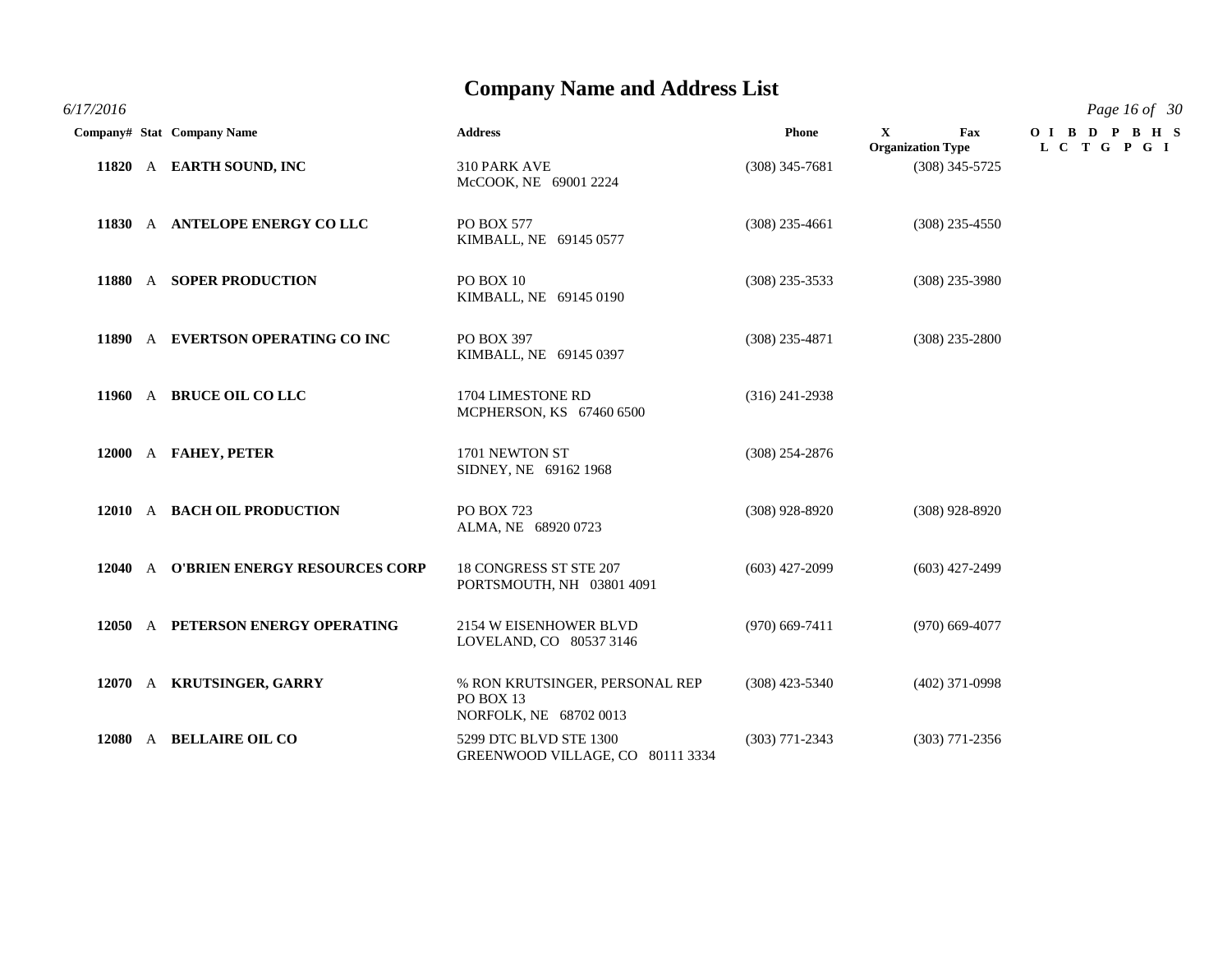*6/17/2016 Page 16 of 30*

|  | Company# Stat Company Name            | <b>Address</b>                                                        | Phone            | $\mathbf{x}$<br>Fax<br><b>Organization Type</b> | OIBD PBHS<br>L C T G P G I |
|--|---------------------------------------|-----------------------------------------------------------------------|------------------|-------------------------------------------------|----------------------------|
|  | 11820 A EARTH SOUND, INC              | 310 PARK AVE<br>McCOOK, NE 69001 2224                                 | $(308)$ 345-7681 | $(308)$ 345-5725                                |                            |
|  | 11830 A ANTELOPE ENERGY COLLC         | PO BOX 577<br>KIMBALL, NE 69145 0577                                  | $(308)$ 235-4661 | $(308)$ 235-4550                                |                            |
|  | 11880 A SOPER PRODUCTION              | PO BOX 10<br>KIMBALL, NE 69145 0190                                   | $(308)$ 235-3533 | $(308)$ 235-3980                                |                            |
|  | 11890 A EVERTSON OPERATING CO INC     | PO BOX 397<br>KIMBALL, NE 69145 0397                                  | $(308)$ 235-4871 | $(308)$ 235-2800                                |                            |
|  | 11960 A BRUCE OIL CO LLC              | 1704 LIMESTONE RD<br>MCPHERSON, KS 67460 6500                         | $(316)$ 241-2938 |                                                 |                            |
|  | 12000 A FAHEY, PETER                  | 1701 NEWTON ST<br>SIDNEY, NE 69162 1968                               | $(308)$ 254-2876 |                                                 |                            |
|  | 12010 A BACH OIL PRODUCTION           | <b>PO BOX 723</b><br>ALMA, NE 68920 0723                              | $(308)$ 928-8920 | $(308)$ 928-8920                                |                            |
|  | 12040 A O'BRIEN ENERGY RESOURCES CORP | 18 CONGRESS ST STE 207<br>PORTSMOUTH, NH 03801 4091                   | $(603)$ 427-2099 | $(603)$ 427-2499                                |                            |
|  | 12050 A PETERSON ENERGY OPERATING     | 2154 W EISENHOWER BLVD<br>LOVELAND, CO 80537 3146                     | $(970)$ 669-7411 | $(970)$ 669-4077                                |                            |
|  | 12070 A KRUTSINGER, GARRY             | % RON KRUTSINGER, PERSONAL REP<br>PO BOX 13<br>NORFOLK, NE 68702 0013 | $(308)$ 423-5340 | $(402)$ 371-0998                                |                            |
|  | 12080 A BELLAIRE OIL CO               | 5299 DTC BLVD STE 1300<br>GREENWOOD VILLAGE, CO 80111 3334            | $(303)$ 771-2343 | $(303)$ 771-2356                                |                            |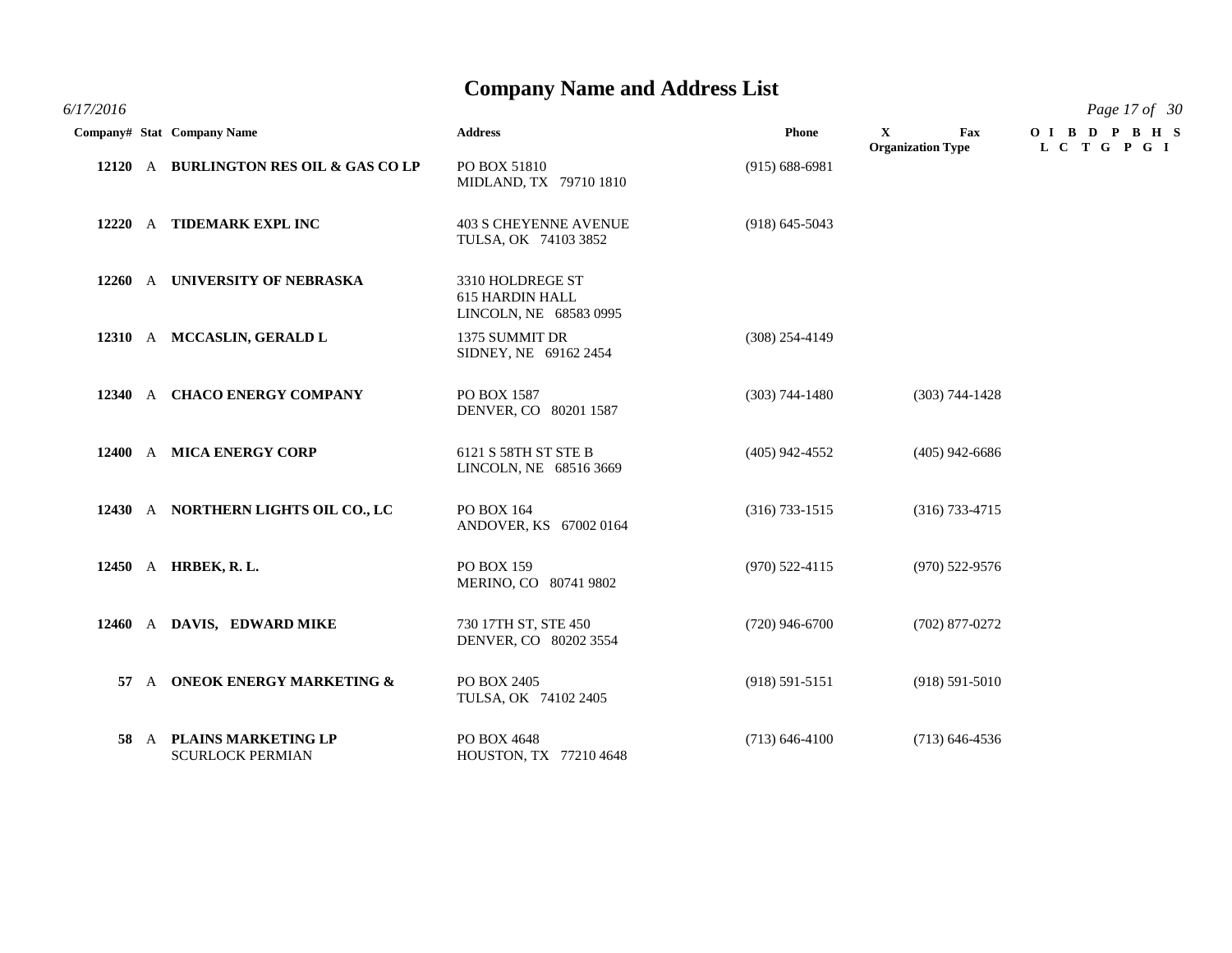| 6/17/2016 | Page 17 of 30 |
|-----------|---------------|
|-----------|---------------|

|  | Company# Stat Company Name                          | <b>Address</b>                                                | <b>Phone</b>       | $\mathbf{x}$<br>Fax<br><b>Organization Type</b> | OIBD PBHS<br>L C T G P G I |
|--|-----------------------------------------------------|---------------------------------------------------------------|--------------------|-------------------------------------------------|----------------------------|
|  | 12120 A BURLINGTON RES OIL & GAS CO LP              | PO BOX 51810<br>MIDLAND, TX 79710 1810                        | $(915) 688 - 6981$ |                                                 |                            |
|  | 12220 A TIDEMARK EXPL INC                           | <b>403 S CHEYENNE AVENUE</b><br>TULSA, OK 74103 3852          | $(918)$ 645-5043   |                                                 |                            |
|  | 12260 A UNIVERSITY OF NEBRASKA                      | 3310 HOLDREGE ST<br>615 HARDIN HALL<br>LINCOLN, NE 68583 0995 |                    |                                                 |                            |
|  | 12310 A MCCASLIN, GERALD L                          | 1375 SUMMIT DR<br>SIDNEY, NE 69162 2454                       | $(308)$ 254-4149   |                                                 |                            |
|  | 12340 A CHACO ENERGY COMPANY                        | PO BOX 1587<br>DENVER, CO 80201 1587                          | $(303) 744 - 1480$ | $(303) 744 - 1428$                              |                            |
|  | 12400 A MICA ENERGY CORP                            | 6121 S 58TH ST STE B<br>LINCOLN, NE 68516 3669                | $(405)$ 942-4552   | $(405)$ 942-6686                                |                            |
|  | 12430 A NORTHERN LIGHTS OIL CO., LC                 | PO BOX 164<br>ANDOVER, KS 67002 0164                          | $(316) 733 - 1515$ | $(316)$ 733-4715                                |                            |
|  | 12450 A HRBEK, R. L.                                | <b>PO BOX 159</b><br>MERINO, CO 80741 9802                    | $(970)$ 522-4115   | $(970)$ 522-9576                                |                            |
|  | 12460 A DAVIS, EDWARD MIKE                          | 730 17TH ST, STE 450<br>DENVER, CO 80202 3554                 | $(720)$ 946-6700   | $(702)$ 877-0272                                |                            |
|  | 57 A ONEOK ENERGY MARKETING &                       | PO BOX 2405<br>TULSA, OK 74102 2405                           | $(918) 591 - 5151$ | $(918) 591 - 5010$                              |                            |
|  | 58 A PLAINS MARKETING LP<br><b>SCURLOCK PERMIAN</b> | PO BOX 4648<br>HOUSTON, TX 77210 4648                         | $(713) 646 - 4100$ | $(713)$ 646-4536                                |                            |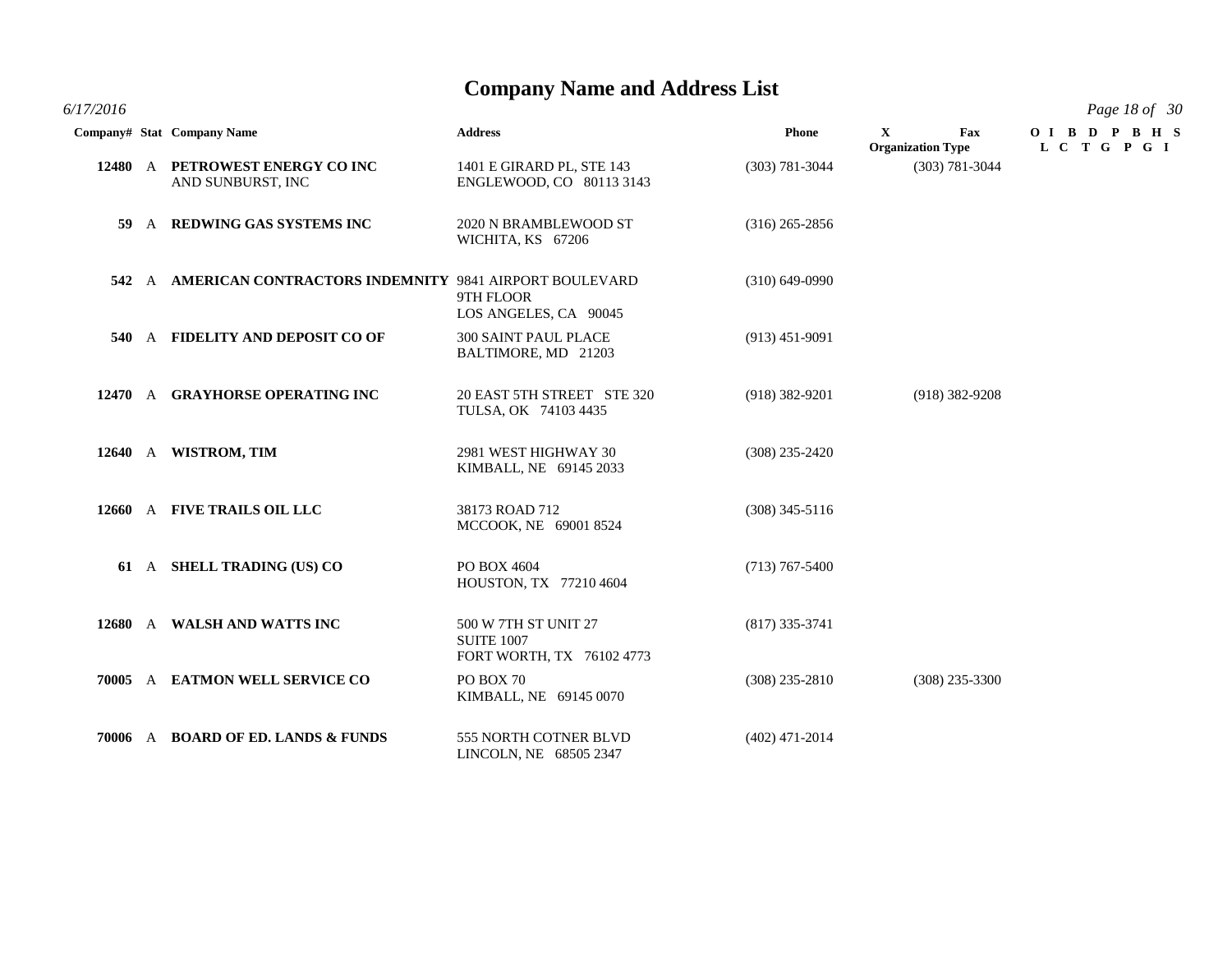**Company# Stat Company Name Address Phone X Fax O I B D P B H S Organization Type L C T G P G I 12480** A **PETROWEST ENERGY CO INC** 1401 E GIRARD PL, STE 143 (303) 781-3044 (303) 781-3044 AND SUNBURST, INC ENGLEWOOD, CO 80113 3143 **59** A **REDWING GAS SYSTEMS INC** 2020 N BRAMBLEWOOD ST (316) 265-2856 WICHITA, KS 67206 **542** A **AMERICAN CONTRACTORS INDEMNITY** 9841 AIRPORT BOULEVARD (310) 649-0990 9TH FLOOR LOS ANGELES, CA 90045 **540** A **FIDELITY AND DEPOSIT CO OF** 300 SAINT PAUL PLACE (913) 451-9091 BALTIMORE, MD 21203 **12470** A **GRAYHORSE OPERATING INC** 20 EAST 5TH STREET STE 320 (918) 382-9201 (918) 382-9208 TULSA, OK 74103 4435 **12640** A **WISTROM, TIM** 2981 WEST HIGHWAY 30 (308) 235-2420 KIMBALL, NE 69145 2033 **12660** A **FIVE TRAILS OIL LLC** 38173 ROAD 712 (308) 345-5116 MCCOOK, NE 69001 8524 **61** A **SHELL TRADING (US) CO** PO BOX 4604 (713) 767-5400 HOUSTON, TX 77210 4604 **12680** A **WALSH AND WATTS INC** 500 W 7TH ST UNIT 27 (817) 335-3741 SUITE 1007 FORT WORTH, TX 76102 4773 **70005** A **EATMON WELL SERVICE CO** PO BOX 70 (308) 235-2810 (308) 235-3300 KIMBALL, NE 69145 0070 **70006** A **BOARD OF ED. LANDS & FUNDS** 555 NORTH COTNER BLVD (402) 471-2014 LINCOLN, NE 68505 2347

*6/17/2016 Page 18 of 30*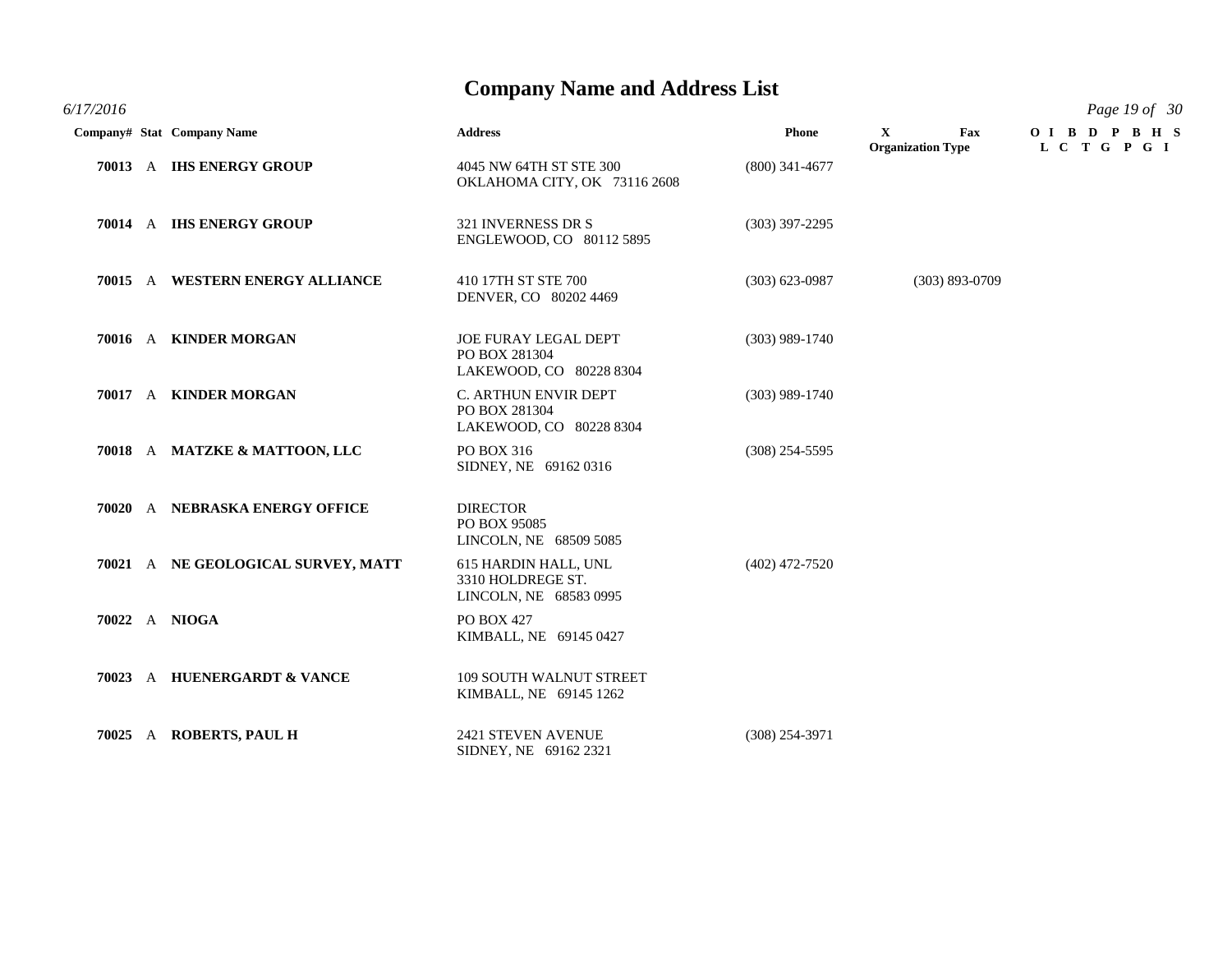*6/17/2016 Page 19 of 30*

|  | Company# Stat Company Name         | <b>Address</b>                                                          | Phone            | $\mathbf{X}$<br>Fax<br><b>Organization Type</b> | OIBD PBHS<br>L C T G P G I |
|--|------------------------------------|-------------------------------------------------------------------------|------------------|-------------------------------------------------|----------------------------|
|  | 70013 A IHS ENERGY GROUP           | 4045 NW 64TH ST STE 300<br>OKLAHOMA CITY, OK 73116 2608                 | $(800)$ 341-4677 |                                                 |                            |
|  | 70014 A IHS ENERGY GROUP           | 321 INVERNESS DR S<br>ENGLEWOOD, CO 80112 5895                          | $(303)$ 397-2295 |                                                 |                            |
|  | 70015 A WESTERN ENERGY ALLIANCE    | 410 17TH ST STE 700<br>DENVER, CO 80202 4469                            | $(303)$ 623-0987 | $(303)$ 893-0709                                |                            |
|  | 70016 A KINDER MORGAN              | <b>JOE FURAY LEGAL DEPT</b><br>PO BOX 281304<br>LAKEWOOD, CO 80228 8304 | $(303)$ 989-1740 |                                                 |                            |
|  | 70017 A KINDER MORGAN              | C. ARTHUN ENVIR DEPT<br>PO BOX 281304<br>LAKEWOOD, CO 80228 8304        | $(303)$ 989-1740 |                                                 |                            |
|  | 70018 A MATZKE & MATTOON, LLC      | PO BOX 316<br>SIDNEY, NE 69162 0316                                     | $(308)$ 254-5595 |                                                 |                            |
|  | 70020 A NEBRASKA ENERGY OFFICE     | <b>DIRECTOR</b><br>PO BOX 95085<br>LINCOLN, NE 68509 5085               |                  |                                                 |                            |
|  | 70021 A NE GEOLOGICAL SURVEY, MATT | 615 HARDIN HALL, UNL<br>3310 HOLDREGE ST.<br>LINCOLN, NE 68583 0995     | $(402)$ 472-7520 |                                                 |                            |
|  | 70022 A NIOGA                      | PO BOX 427<br>KIMBALL, NE 69145 0427                                    |                  |                                                 |                            |
|  | 70023 A HUENERGARDT & VANCE        | <b>109 SOUTH WALNUT STREET</b><br>KIMBALL, NE 69145 1262                |                  |                                                 |                            |
|  | 70025 A ROBERTS, PAUL H            | 2421 STEVEN AVENUE<br>SIDNEY, NE 69162 2321                             | $(308)$ 254-3971 |                                                 |                            |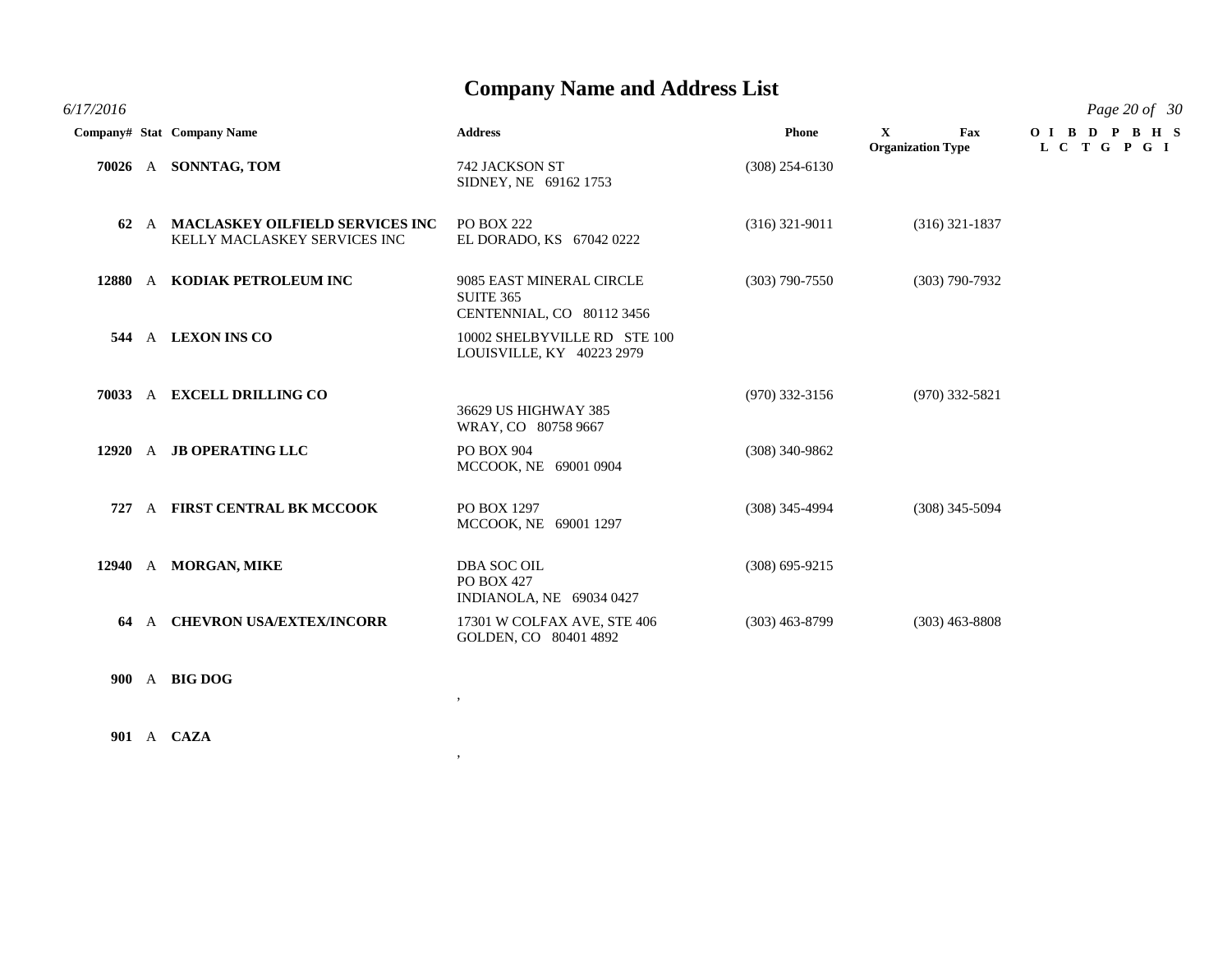| 6/17/2016 |                                                                      |                                                                           |                  |                                                | Page 20 of 30             |
|-----------|----------------------------------------------------------------------|---------------------------------------------------------------------------|------------------|------------------------------------------------|---------------------------|
|           | Company# Stat Company Name                                           | <b>Address</b>                                                            | <b>Phone</b>     | $\mathbf X$<br>Fax<br><b>Organization Type</b> | OIBDPBHS<br>L C T G P G I |
|           | 70026 A SONNTAG, TOM                                                 | 742 JACKSON ST<br>SIDNEY, NE 69162 1753                                   | $(308)$ 254-6130 |                                                |                           |
|           | 62 A MACLASKEY OILFIELD SERVICES INC<br>KELLY MACLASKEY SERVICES INC | <b>PO BOX 222</b><br>EL DORADO, KS 67042 0222                             | $(316)$ 321-9011 | $(316)$ 321-1837                               |                           |
|           | 12880 A KODIAK PETROLEUM INC                                         | 9085 EAST MINERAL CIRCLE<br><b>SUITE 365</b><br>CENTENNIAL, CO 80112 3456 | $(303)$ 790-7550 | $(303)$ 790-7932                               |                           |
| 544       | A LEXON INS CO                                                       | 10002 SHELBYVILLE RD STE 100<br>LOUISVILLE, KY 40223 2979                 |                  |                                                |                           |
|           | 70033 A EXCELL DRILLING CO                                           | 36629 US HIGHWAY 385<br>WRAY, CO 80758 9667                               | $(970)$ 332-3156 | $(970)$ 332-5821                               |                           |
|           | 12920 A JB OPERATING LLC                                             | PO BOX 904<br>MCCOOK, NE 69001 0904                                       | $(308)$ 340-9862 |                                                |                           |
| 727       | A FIRST CENTRAL BK MCCOOK                                            | PO BOX 1297<br>MCCOOK, NE 69001 1297                                      | $(308)$ 345-4994 | $(308)$ 345-5094                               |                           |
|           | 12940 A MORGAN, MIKE                                                 | <b>DBA SOC OIL</b><br>PO BOX 427<br>INDIANOLA, NE 69034 0427              | $(308)$ 695-9215 |                                                |                           |
| 64        | A CHEVRON USA/EXTEX/INCORR                                           | 17301 W COLFAX AVE, STE 406<br>GOLDEN, CO 80401 4892                      | $(303)$ 463-8799 | $(303)$ 463-8808                               |                           |
|           | 900 A BIG DOG                                                        |                                                                           |                  |                                                |                           |

,

,

**901** A **CAZA**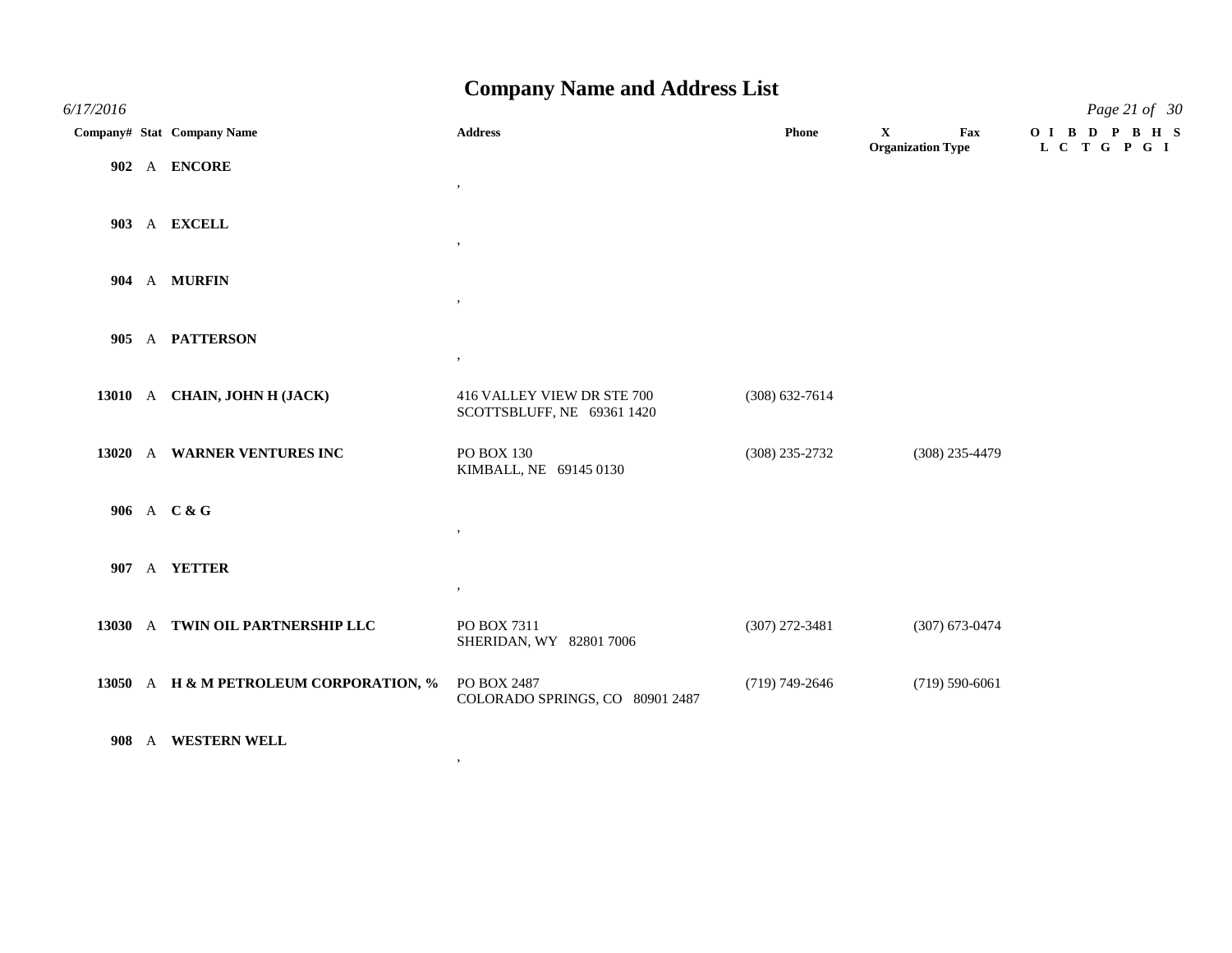| 6/17/2016 |                                        |                                                          |                    |                                                 | Page 21 of 30              |
|-----------|----------------------------------------|----------------------------------------------------------|--------------------|-------------------------------------------------|----------------------------|
|           | Company# Stat Company Name             | <b>Address</b>                                           | Phone              | Fax<br>$\mathbf{X}$<br><b>Organization Type</b> | OIBD PBHS<br>L C T G P G I |
|           | 902 A ENCORE                           | $\,$                                                     |                    |                                                 |                            |
|           | 903 A EXCELL                           | $, \, \,$                                                |                    |                                                 |                            |
|           | 904 A MURFIN                           |                                                          |                    |                                                 |                            |
|           | 905 A PATTERSON                        | $^\circ$                                                 |                    |                                                 |                            |
|           | 13010 A CHAIN, JOHN H (JACK)           | 416 VALLEY VIEW DR STE 700<br>SCOTTSBLUFF, NE 69361 1420 | $(308) 632 - 7614$ |                                                 |                            |
|           | 13020 A WARNER VENTURES INC            | PO BOX 130<br>KIMBALL, NE 69145 0130                     | $(308)$ 235-2732   | $(308)$ 235-4479                                |                            |
|           | 906 A C & G                            | $, \, \,$                                                |                    |                                                 |                            |
|           | 907 A YETTER                           | $\,$ ,                                                   |                    |                                                 |                            |
|           | 13030 A TWIN OIL PARTNERSHIP LLC       | PO BOX 7311<br>SHERIDAN, WY 82801 7006                   | $(307)$ 272-3481   | $(307)$ 673-0474                                |                            |
|           | 13050 A H & M PETROLEUM CORPORATION, % | PO BOX 2487<br>COLORADO SPRINGS, CO 80901 2487           | $(719) 749 - 2646$ | $(719) 590 - 6061$                              |                            |
|           | 908 A WESTERN WELL                     |                                                          |                    |                                                 |                            |

,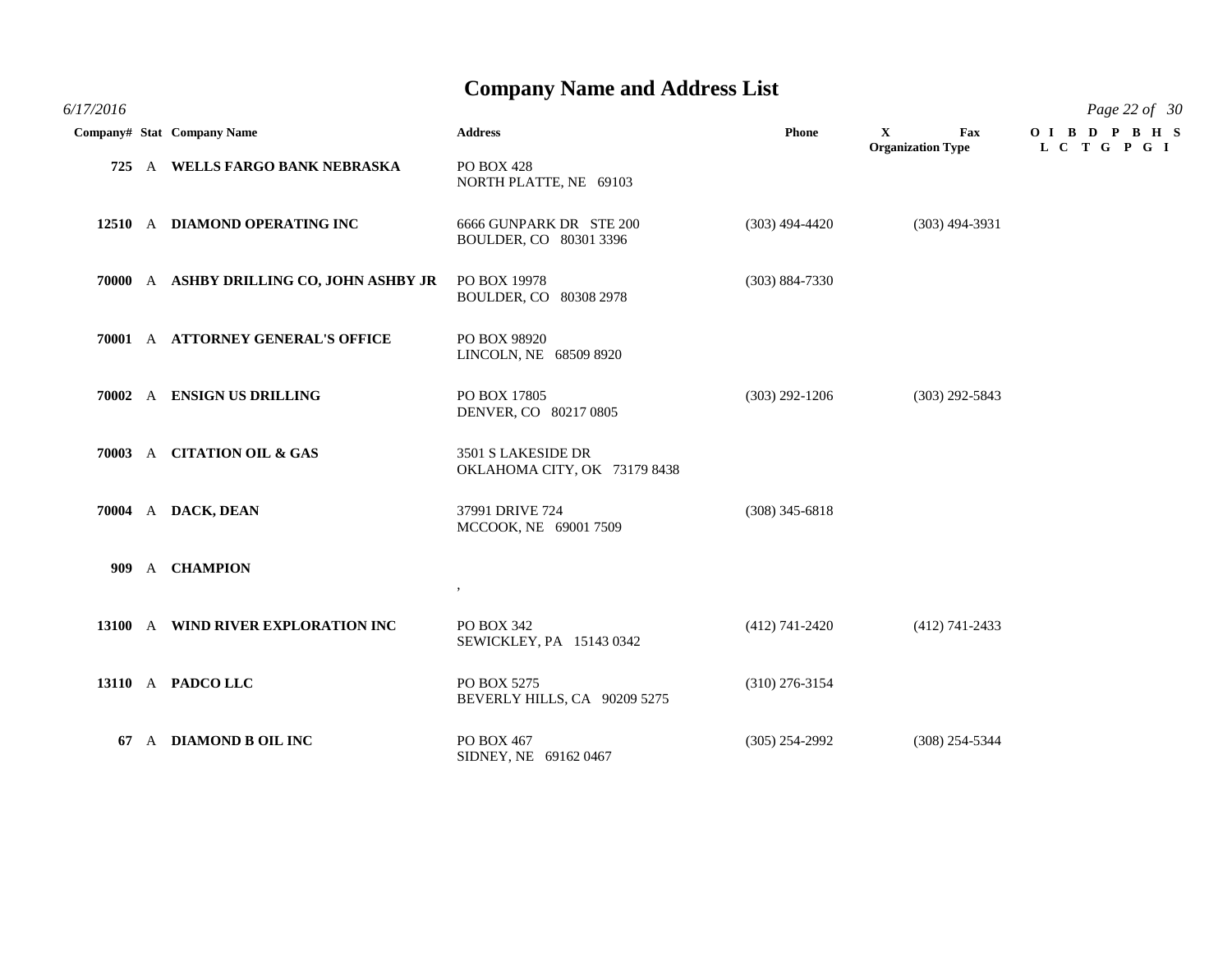*6/17/2016 Page 22 of 30*

#### **Company Name and Address List**

|      | Company# Stat Company Name               | <b>Address</b>                                     | Phone              | $\mathbf{X}$<br>Fax<br><b>Organization Type</b> | OIBDPBHS<br>L C T G P G I |
|------|------------------------------------------|----------------------------------------------------|--------------------|-------------------------------------------------|---------------------------|
|      | 725 A WELLS FARGO BANK NEBRASKA          | PO BOX 428<br>NORTH PLATTE, NE 69103               |                    |                                                 |                           |
|      | 12510 A DIAMOND OPERATING INC            | 6666 GUNPARK DR STE 200<br>BOULDER, CO 80301 3396  | $(303)$ 494-4420   | $(303)$ 494-3931                                |                           |
|      | 70000 A ASHBY DRILLING CO, JOHN ASHBY JR | PO BOX 19978<br>BOULDER, CO 80308 2978             | $(303) 884 - 7330$ |                                                 |                           |
|      | 70001 A ATTORNEY GENERAL'S OFFICE        | PO BOX 98920<br>LINCOLN, NE 68509 8920             |                    |                                                 |                           |
|      | 70002 A ENSIGN US DRILLING               | PO BOX 17805<br>DENVER, CO 80217 0805              | $(303)$ 292-1206   | $(303)$ 292-5843                                |                           |
|      | 70003 A CITATION OIL & GAS               | 3501 S LAKESIDE DR<br>OKLAHOMA CITY, OK 73179 8438 |                    |                                                 |                           |
|      | 70004 A DACK, DEAN                       | 37991 DRIVE 724<br>MCCOOK, NE 69001 7509           | $(308)$ 345-6818   |                                                 |                           |
| 909- | A <b>CHAMPION</b>                        | $\,$                                               |                    |                                                 |                           |
|      | 13100 A WIND RIVER EXPLORATION INC       | PO BOX 342<br>SEWICKLEY, PA 15143 0342             | $(412)$ 741-2420   | $(412)$ 741-2433                                |                           |
|      | 13110 A PADCO LLC                        | PO BOX 5275<br>BEVERLY HILLS, CA 90209 5275        | $(310)$ 276-3154   |                                                 |                           |
|      | 67 A DIAMOND B OIL INC                   | PO BOX 467<br>SIDNEY, NE 69162 0467                | $(305)$ 254-2992   | $(308)$ 254-5344                                |                           |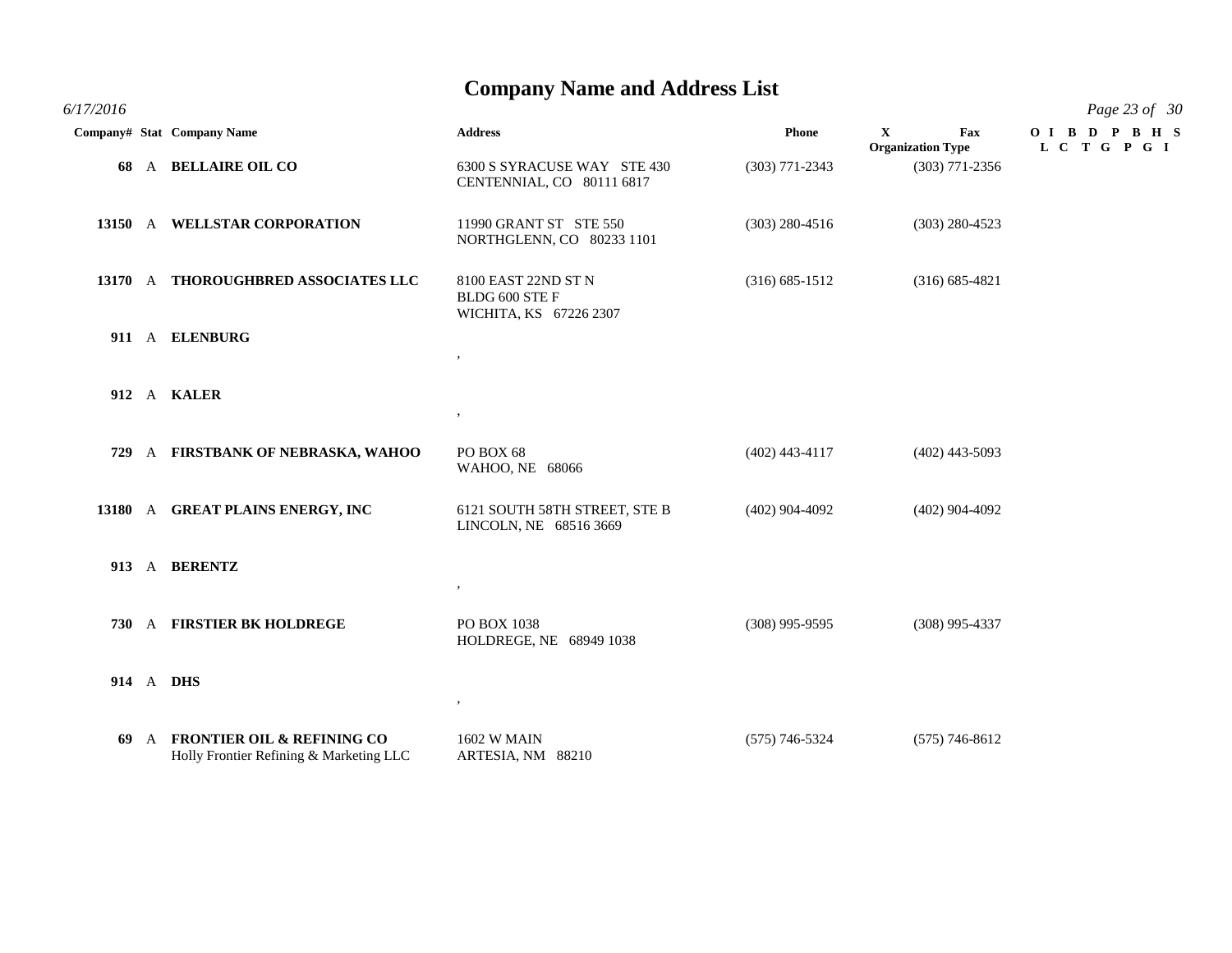*6/17/2016 Page 23 of 30* **Company# Stat Company Name Address Phone X Fax O I B D P B H S Organization Type L C T G P G I 68** A **BELLAIRE OIL CO** 6300 S SYRACUSE WAY STE 430 (303) 771-2343 (303) 771-2356 CENTENNIAL, CO 80111 6817 **13150** A **WELLSTAR CORPORATION** 11990 GRANT ST STE 550 (303) 280-4516 (303) 280-4523 NORTHGLENN, CO 80233 1101 **13170** A **THOROUGHBRED ASSOCIATES LLC** 8100 EAST 22ND ST N (316) 685-1512 (316) 685-4821 BLDG 600 STE F WICHITA, KS 67226 2307 **911** A **ELENBURG** , **912** A **KALER** , **729** A **FIRSTBANK OF NEBRASKA, WAHOO** PO BOX 68 (402) 443-4117 (402) 443-5093 WAHOO, NE 68066 **13180** A **GREAT PLAINS ENERGY, INC** 6121 SOUTH 58TH STREET, STE B (402) 904-4092 (402) 904-4092 LINCOLN, NE 68516 3669 **913** A **BERENTZ** , **730** A **FIRSTIER BK HOLDREGE** PO BOX 1038 (308) 995-9595 (308) 995-4337 HOLDREGE, NE 68949 1038 **914** A **DHS** ,

**69** A **FRONTIER OIL & REFINING CO** 1602 W MAIN (575) 746-5324 (575) 746-8612 Holly Frontier Refining & Marketing LLC ARTESIA, NM 88210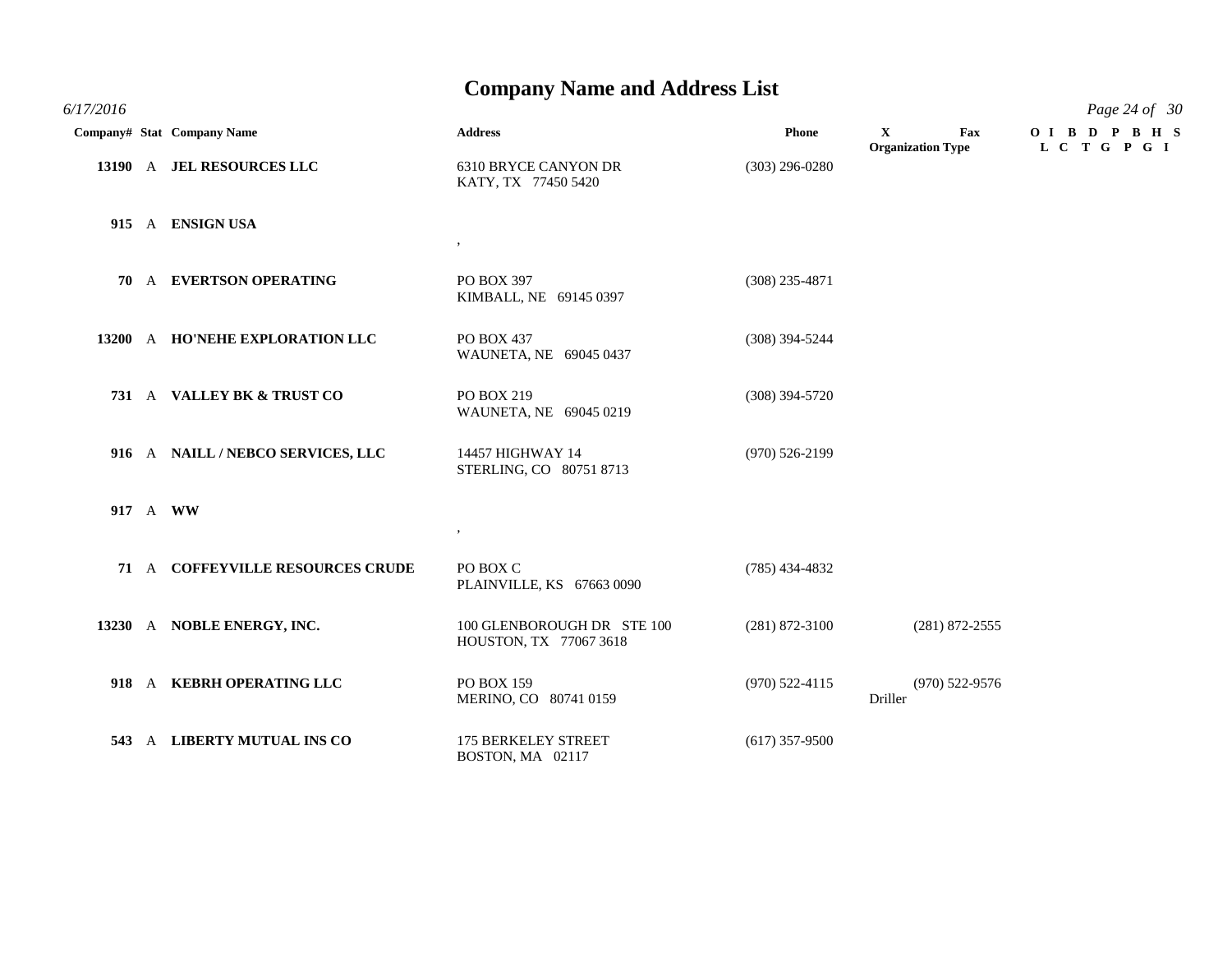*6/17/2016 Page 24 of 30*

|  | Company# Stat Company Name        | <b>Address</b>                                       | <b>Phone</b>       | $\mathbf{X}$<br><b>Organization Type</b> | Fax | OIBD PBHS<br>L C T G P G I |
|--|-----------------------------------|------------------------------------------------------|--------------------|------------------------------------------|-----|----------------------------|
|  | 13190 A JEL RESOURCES LLC         | 6310 BRYCE CANYON DR<br>KATY, TX 77450 5420          | $(303)$ 296-0280   |                                          |     |                            |
|  | 915 A ENSIGN USA                  | $\cdot$                                              |                    |                                          |     |                            |
|  | 70 A EVERTSON OPERATING           | PO BOX 397<br>KIMBALL, NE 69145 0397                 | $(308)$ 235-4871   |                                          |     |                            |
|  | 13200 A HO'NEHE EXPLORATION LLC   | PO BOX 437<br>WAUNETA, NE 69045 0437                 | $(308)$ 394-5244   |                                          |     |                            |
|  | 731 A VALLEY BK & TRUST CO        | PO BOX 219<br>WAUNETA, NE 69045 0219                 | $(308)$ 394-5720   |                                          |     |                            |
|  | 916 A NAILL / NEBCO SERVICES, LLC | 14457 HIGHWAY 14<br>STERLING, CO 80751 8713          | $(970) 526 - 2199$ |                                          |     |                            |
|  | 917 A WW                          | $\bullet$                                            |                    |                                          |     |                            |
|  | 71 A COFFEYVILLE RESOURCES CRUDE  | PO BOX C<br>PLAINVILLE, KS 67663 0090                | $(785)$ 434-4832   |                                          |     |                            |
|  | 13230 A NOBLE ENERGY, INC.        | 100 GLENBOROUGH DR STE 100<br>HOUSTON, TX 77067 3618 | $(281) 872 - 3100$ | $(281) 872 - 2555$                       |     |                            |
|  | 918 A KEBRH OPERATING LLC         | <b>PO BOX 159</b><br>MERINO, CO 80741 0159           | $(970)$ 522-4115   | $(970)$ 522-9576<br>Driller              |     |                            |
|  | 543 A LIBERTY MUTUAL INS CO       | <b>175 BERKELEY STREET</b><br>BOSTON, MA 02117       | $(617)$ 357-9500   |                                          |     |                            |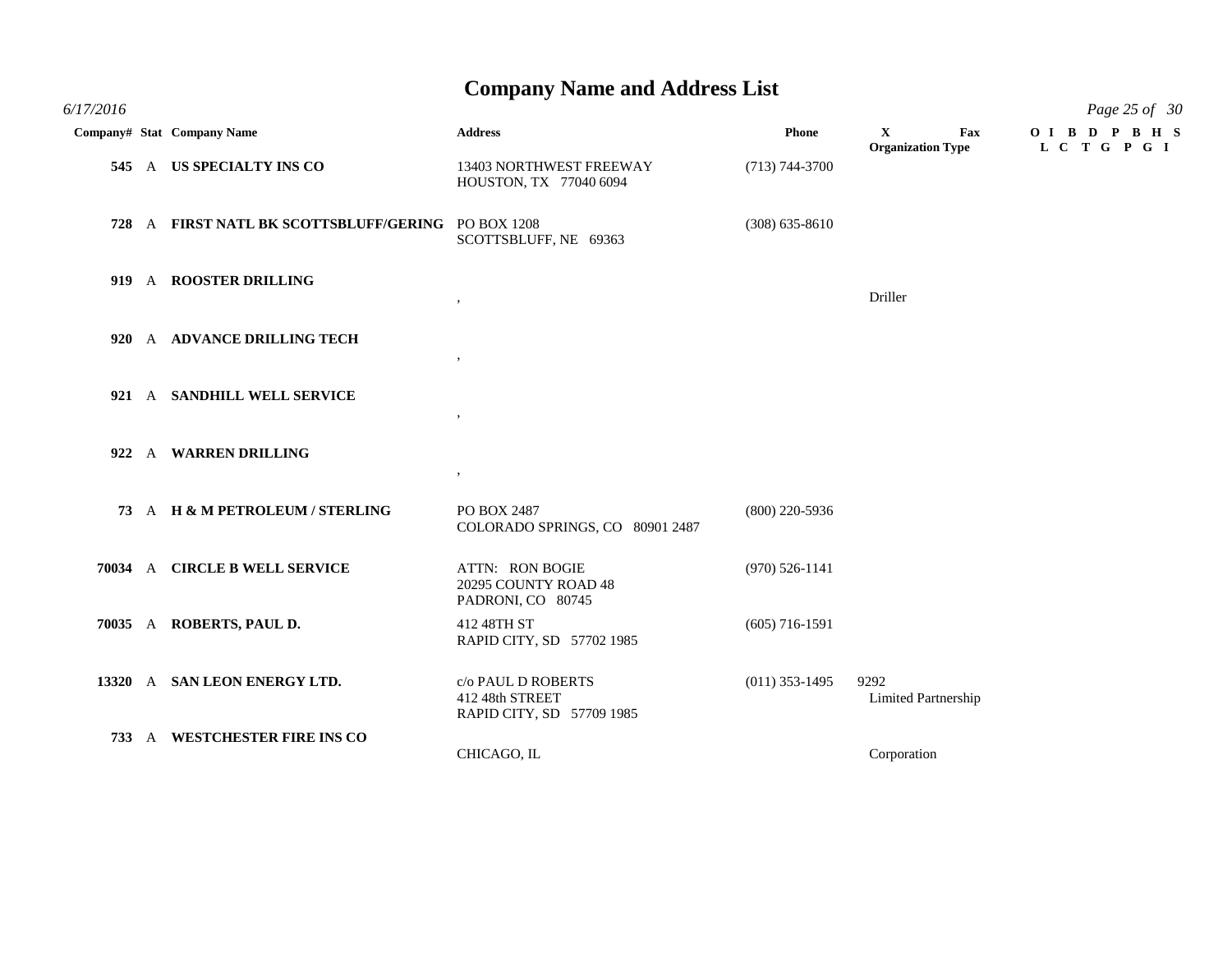*6/17/2016 Page 25 of 30* **Company# Stat Company Name Address Phone X Fax O I B D P B H S Organization Type L C T G P G I 545** A **US SPECIALTY INS CO** 13403 NORTHWEST FREEWAY (713) 744-3700 HOUSTON, TX 77040 6094 **728** A **FIRST NATL BK SCOTTSBLUFF/GERING** PO BOX 1208 (308) 635-8610 SCOTTSBLUFF, NE 69363 **919** A **ROOSTER DRILLING** , Driller **920** A **ADVANCE DRILLING TECH** , **921** A **SANDHILL WELL SERVICE** , **922** A **WARREN DRILLING** , **73** A **H & M PETROLEUM / STERLING** PO BOX 2487 (800) 220-5936 COLORADO SPRINGS, CO 80901 2487 **70034** A **CIRCLE B WELL SERVICE** ATTN: RON BOGIE (970) 526-1141 20295 COUNTY ROAD 48 PADRONI, CO 80745 **70035** A **ROBERTS, PAUL D.** 412 48TH ST (605) 716-1591 RAPID CITY, SD 57702 1985 **13320** A **SAN LEON ENERGY LTD.** c/o PAUL D ROBERTS (011) 353-1495 9292 412 48th STREET Limited Partnership RAPID CITY, SD 57709 1985 **733** A **WESTCHESTER FIRE INS CO** CHICAGO, IL Corporation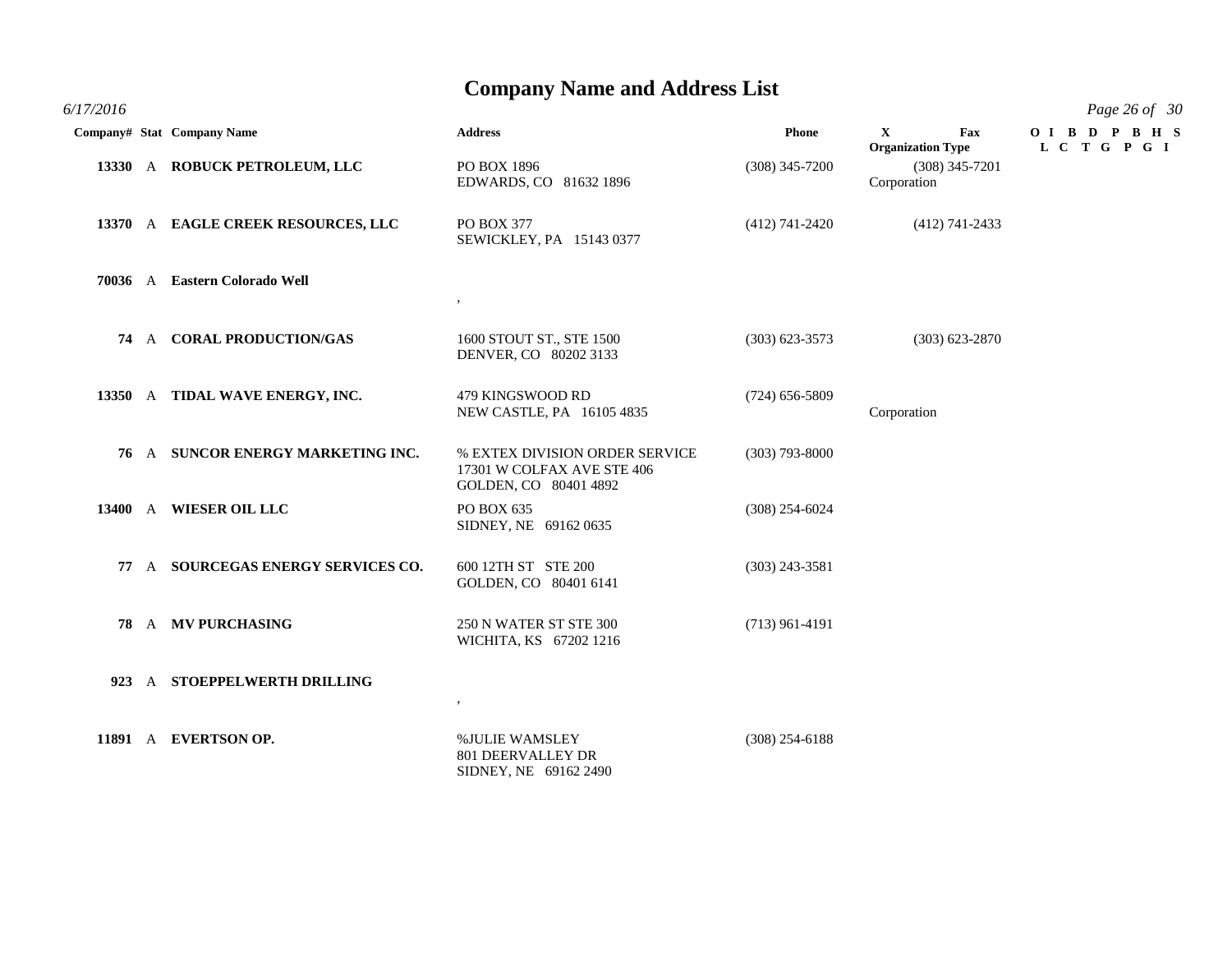| 6/17/2016 |  |
|-----------|--|
|           |  |

|           | __ |               |
|-----------|----|---------------|
| 6/17/2016 |    | Page 26 of 30 |

| /17/2016 |                                    |                                                                                       |                    |                                                 | Page 26 of 30              |
|----------|------------------------------------|---------------------------------------------------------------------------------------|--------------------|-------------------------------------------------|----------------------------|
|          | Company# Stat Company Name         | <b>Address</b>                                                                        | Phone              | $\mathbf{X}$<br>Fax<br><b>Organization Type</b> | OIBD PBHS<br>L C T G P G I |
|          | 13330 A ROBUCK PETROLEUM, LLC      | PO BOX 1896<br>EDWARDS, CO 81632 1896                                                 | $(308)$ 345-7200   | $(308)$ 345-7201<br>Corporation                 |                            |
|          | 13370 A EAGLE CREEK RESOURCES, LLC | PO BOX 377<br>SEWICKLEY, PA 15143 0377                                                | $(412)$ 741-2420   | $(412)$ 741-2433                                |                            |
|          | 70036 A Eastern Colorado Well      | $\overline{\phantom{a}}$                                                              |                    |                                                 |                            |
| 74       | A CORAL PRODUCTION/GAS             | 1600 STOUT ST., STE 1500<br>DENVER, CO 80202 3133                                     | $(303) 623 - 3573$ | $(303) 623 - 2870$                              |                            |
|          | 13350 A TIDAL WAVE ENERGY, INC.    | 479 KINGSWOOD RD<br>NEW CASTLE, PA 16105 4835                                         | $(724)$ 656-5809   | Corporation                                     |                            |
|          | 76 A SUNCOR ENERGY MARKETING INC.  | % EXTEX DIVISION ORDER SERVICE<br>17301 W COLFAX AVE STE 406<br>GOLDEN, CO 80401 4892 | $(303)$ 793-8000   |                                                 |                            |
|          | 13400 A WIESER OIL LLC             | PO BOX 635<br>SIDNEY, NE 69162 0635                                                   | $(308)$ 254-6024   |                                                 |                            |
| 77       | A SOURCEGAS ENERGY SERVICES CO.    | 600 12TH ST STE 200<br>GOLDEN, CO 80401 6141                                          | $(303)$ 243-3581   |                                                 |                            |
|          | 78 A MV PURCHASING                 | 250 N WATER ST STE 300<br>WICHITA, KS 67202 1216                                      | $(713)$ 961-4191   |                                                 |                            |
|          | 923 A STOEPPELWERTH DRILLING       | ,                                                                                     |                    |                                                 |                            |
|          | 11891 A EVERTSON OP.               | %JULIE WAMSLEY<br><b>801 DEERVALLEY DR</b><br>SIDNEY, NE 69162 2490                   | $(308)$ 254-6188   |                                                 |                            |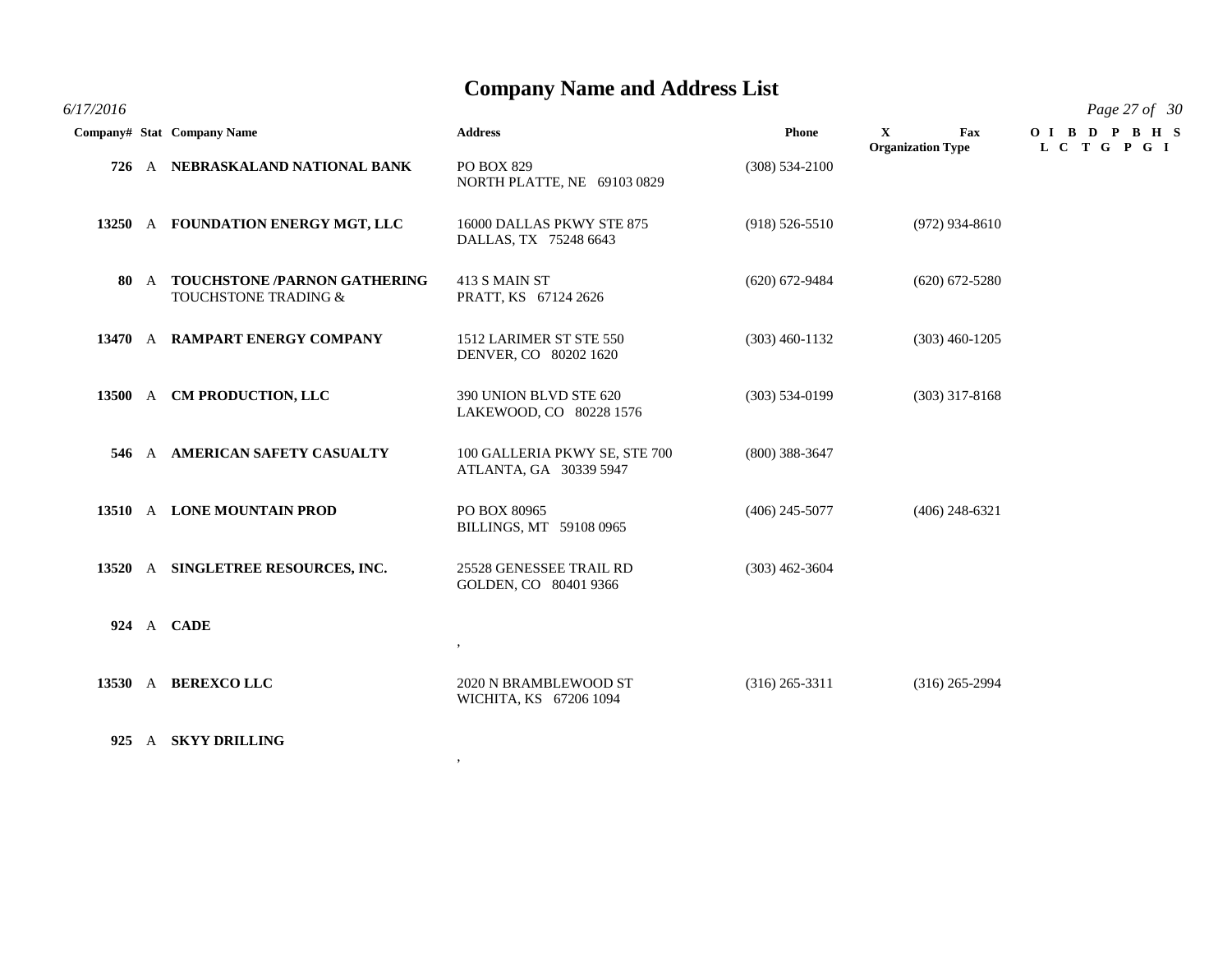*6/17/2016 Page 27 of 30*

|  | Company# Stat Company Name                                | <b>Address</b>                                          | <b>Phone</b>       | $\mathbf{X}$<br>Fax<br><b>Organization Type</b> | OIBDPBHS<br>L C T G P G I |
|--|-----------------------------------------------------------|---------------------------------------------------------|--------------------|-------------------------------------------------|---------------------------|
|  | 726 A NEBRASKALAND NATIONAL BANK                          | <b>PO BOX 829</b><br>NORTH PLATTE, NE 69103 0829        | $(308) 534 - 2100$ |                                                 |                           |
|  | 13250 A FOUNDATION ENERGY MGT, LLC                        | 16000 DALLAS PKWY STE 875<br>DALLAS, TX 75248 6643      | $(918) 526 - 5510$ | $(972)$ 934-8610                                |                           |
|  | 80 A TOUCHSTONE /PARNON GATHERING<br>TOUCHSTONE TRADING & | 413 S MAIN ST<br>PRATT, KS 67124 2626                   | $(620)$ 672-9484   | $(620)$ 672-5280                                |                           |
|  | 13470 A RAMPART ENERGY COMPANY                            | 1512 LARIMER ST STE 550<br>DENVER, CO 80202 1620        | $(303)$ 460-1132   | $(303)$ 460-1205                                |                           |
|  | 13500 A CM PRODUCTION, LLC                                | 390 UNION BLVD STE 620<br>LAKEWOOD, CO 80228 1576       | $(303) 534 - 0199$ | $(303)$ 317-8168                                |                           |
|  | 546 A AMERICAN SAFETY CASUALTY                            | 100 GALLERIA PKWY SE, STE 700<br>ATLANTA, GA 30339 5947 | $(800)$ 388-3647   |                                                 |                           |
|  | 13510 A LONE MOUNTAIN PROD                                | PO BOX 80965<br>BILLINGS, MT 59108 0965                 | $(406)$ 245-5077   | $(406)$ 248-6321                                |                           |
|  | 13520 A SINGLETREE RESOURCES, INC.                        | 25528 GENESSEE TRAIL RD<br>GOLDEN, CO 80401 9366        | $(303)$ 462-3604   |                                                 |                           |
|  | 924 A CADE                                                | $\, ,$                                                  |                    |                                                 |                           |
|  | 13530 A BEREXCOLLC                                        | 2020 N BRAMBLEWOOD ST<br>WICHITA, KS 67206 1094         | $(316)$ 265-3311   | $(316)$ 265-2994                                |                           |
|  | 925 A SKYY DRILLING                                       |                                                         |                    |                                                 |                           |

,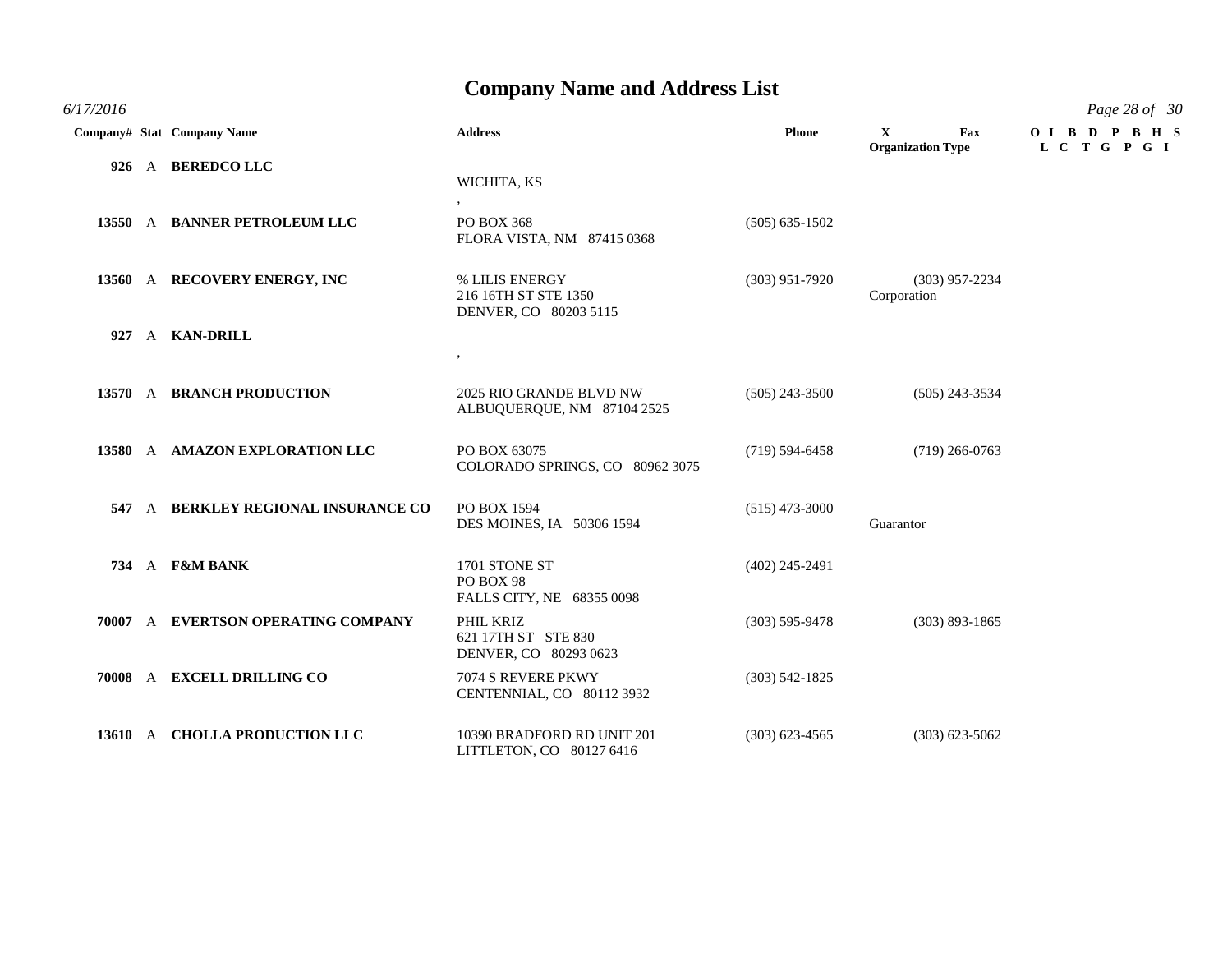*6/17/2016 Page 28 of 30*

|  | Company# Stat Company Name          | <b>Address</b>                                                       | Phone              | $\mathbf{X}$<br>Fax<br><b>Organization Type</b> | OIBDPBHS<br>L C T G P G I |
|--|-------------------------------------|----------------------------------------------------------------------|--------------------|-------------------------------------------------|---------------------------|
|  | 926 A BEREDCO LLC                   | WICHITA, KS                                                          |                    |                                                 |                           |
|  | 13550 A BANNER PETROLEUM LLC        | $\overline{\phantom{a}}$<br>PO BOX 368<br>FLORA VISTA, NM 87415 0368 | $(505) 635 - 1502$ |                                                 |                           |
|  | 13560 A RECOVERY ENERGY, INC        | % LILIS ENERGY<br>216 16TH ST STE 1350<br>DENVER, CO 80203 5115      | $(303)$ 951-7920   | $(303)$ 957-2234<br>Corporation                 |                           |
|  | 927 A KAN-DRILL                     | $\bullet$                                                            |                    |                                                 |                           |
|  | 13570 A BRANCH PRODUCTION           | 2025 RIO GRANDE BLVD NW<br>ALBUQUERQUE, NM 87104 2525                | $(505)$ 243-3500   | $(505)$ 243-3534                                |                           |
|  | 13580 A AMAZON EXPLORATION LLC      | PO BOX 63075<br>COLORADO SPRINGS, CO 80962 3075                      | $(719) 594 - 6458$ | $(719)$ 266-0763                                |                           |
|  | 547 A BERKLEY REGIONAL INSURANCE CO | PO BOX 1594<br>DES MOINES, IA 50306 1594                             | $(515)$ 473-3000   | Guarantor                                       |                           |
|  | 734 A F&M BANK                      | 1701 STONE ST<br>PO BOX 98<br>FALLS CITY, NE 68355 0098              | $(402)$ 245-2491   |                                                 |                           |
|  | 70007 A EVERTSON OPERATING COMPANY  | PHIL KRIZ<br>621 17TH ST STE 830<br>DENVER, CO 80293 0623            | $(303) 595 - 9478$ | $(303) 893 - 1865$                              |                           |
|  | 70008 A EXCELL DRILLING CO          | 7074 S REVERE PKWY<br>CENTENNIAL, CO 80112 3932                      | $(303) 542 - 1825$ |                                                 |                           |
|  | 13610 A CHOLLA PRODUCTION LLC       | 10390 BRADFORD RD UNIT 201<br>LITTLETON, CO 80127 6416               | $(303)$ 623-4565   | $(303)$ 623-5062                                |                           |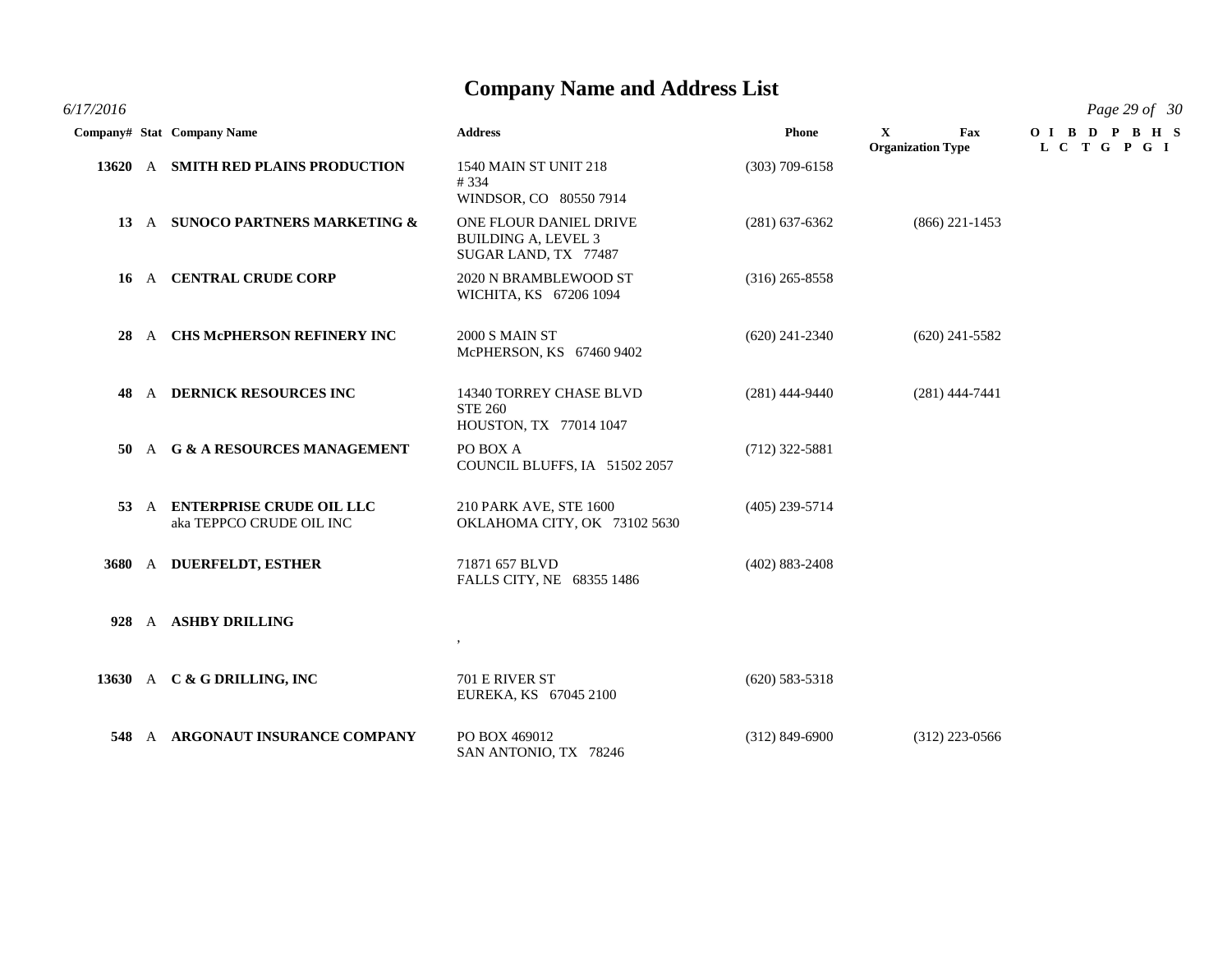*6/17/2016 Page 29 of 30*

|      | Company# Stat Company Name                                | <b>Address</b>                                                               | <b>Phone</b>       | $\mathbf{X}$<br>Fax<br><b>Organization Type</b> | OIBDPBHS<br>L C T G P G I |
|------|-----------------------------------------------------------|------------------------------------------------------------------------------|--------------------|-------------------------------------------------|---------------------------|
|      | 13620 A SMITH RED PLAINS PRODUCTION                       | <b>1540 MAIN ST UNIT 218</b><br>#334<br>WINDSOR, CO 80550 7914               | $(303)$ 709-6158   |                                                 |                           |
|      | 13 A SUNOCO PARTNERS MARKETING &                          | ONE FLOUR DANIEL DRIVE<br><b>BUILDING A, LEVEL 3</b><br>SUGAR LAND, TX 77487 | $(281)$ 637-6362   | $(866)$ 221-1453                                |                           |
|      | 16 A CENTRAL CRUDE CORP                                   | 2020 N BRAMBLEWOOD ST<br>WICHITA, KS 67206 1094                              | $(316)$ 265-8558   |                                                 |                           |
| 28   | A CHS McPHERSON REFINERY INC                              | <b>2000 S MAIN ST</b><br>McPHERSON, KS 67460 9402                            | $(620)$ 241-2340   | $(620)$ 241-5582                                |                           |
| 48.  | A DERNICK RESOURCES INC                                   | 14340 TORREY CHASE BLVD<br><b>STE 260</b><br>HOUSTON, TX 77014 1047          | $(281)$ 444-9440   | $(281)$ 444-7441                                |                           |
| 50 - | A G & A RESOURCES MANAGEMENT                              | PO BOX A<br>COUNCIL BLUFFS, IA 51502 2057                                    | $(712)$ 322-5881   |                                                 |                           |
|      | 53 A ENTERPRISE CRUDE OIL LLC<br>aka TEPPCO CRUDE OIL INC | 210 PARK AVE, STE 1600<br>OKLAHOMA CITY, OK 73102 5630                       | $(405)$ 239-5714   |                                                 |                           |
|      | 3680 A DUERFELDT, ESTHER                                  | 71871 657 BLVD<br>FALLS CITY, NE 68355 1486                                  | $(402) 883 - 2408$ |                                                 |                           |
|      | 928 A ASHBY DRILLING                                      | $\cdot$                                                                      |                    |                                                 |                           |
|      | 13630 A C & G DRILLING, INC                               | 701 E RIVER ST<br>EUREKA, KS 67045 2100                                      | $(620)$ 583-5318   |                                                 |                           |
| 548  | A ARGONAUT INSURANCE COMPANY                              | PO BOX 469012<br>SAN ANTONIO, TX 78246                                       | $(312)$ 849-6900   | $(312)$ 223-0566                                |                           |